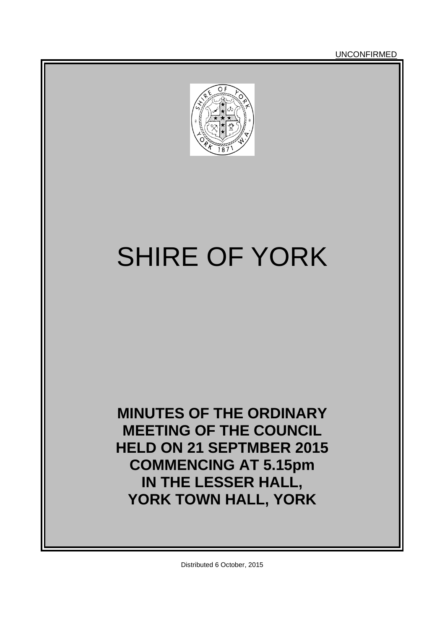**UNCONFIRMED** 



# SHIRE OF YORK

**MINUTES OF THE ORDINARY MEETING OF THE COUNCIL HELD ON 21 SEPTMBER 2015 COMMENCING AT 5.15pm IN THE LESSER HALL, YORK TOWN HALL, YORK**

Distributed 6 October, 2015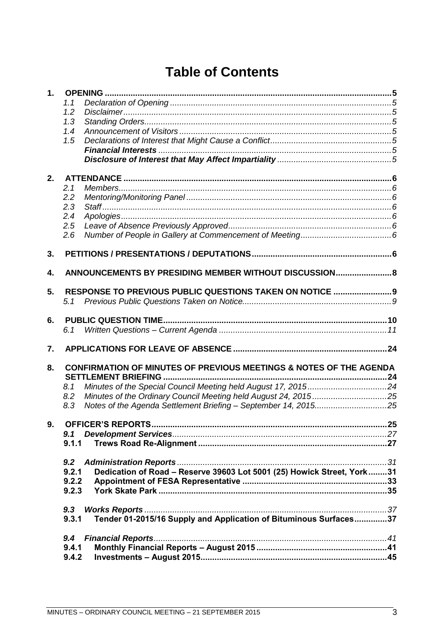# **Table of Contents**

| $\mathbf 1$ . |       | <b>OPENING</b>                                                         |  |
|---------------|-------|------------------------------------------------------------------------|--|
|               | 1.1   |                                                                        |  |
|               | 1.2   |                                                                        |  |
|               | 1.3   |                                                                        |  |
|               | 1.4   |                                                                        |  |
|               | 1.5   |                                                                        |  |
|               |       |                                                                        |  |
|               |       |                                                                        |  |
| 2.            |       |                                                                        |  |
|               | 2.1   |                                                                        |  |
|               | 2.2   |                                                                        |  |
|               | 2.3   |                                                                        |  |
|               | 2.4   |                                                                        |  |
|               | 2.5   |                                                                        |  |
|               | 2.6   |                                                                        |  |
| 3.            |       |                                                                        |  |
| 4.            |       | ANNOUNCEMENTS BY PRESIDING MEMBER WITHOUT DISCUSSION 8                 |  |
|               |       |                                                                        |  |
| 5.            |       | RESPONSE TO PREVIOUS PUBLIC QUESTIONS TAKEN ON NOTICE  9               |  |
|               | 5.1   |                                                                        |  |
| 6.            |       |                                                                        |  |
|               | 6.1   |                                                                        |  |
| 7.            |       |                                                                        |  |
| 8.            |       | CONFIRMATION OF MINUTES OF PREVIOUS MEETINGS & NOTES OF THE AGENDA     |  |
|               |       | SETTLEMENT BRIEFING                                                    |  |
|               | 8.1   |                                                                        |  |
|               | 8.2   |                                                                        |  |
|               | 8.3   | Notes of the Agenda Settlement Briefing - September 14, 201525         |  |
|               |       |                                                                        |  |
| 9.            |       |                                                                        |  |
|               | 9.1   |                                                                        |  |
|               | 9.1.1 |                                                                        |  |
|               | 9.2   |                                                                        |  |
|               | 9.2.1 | Dedication of Road - Reserve 39603 Lot 5001 (25) Howick Street, York31 |  |
|               | 9.2.2 |                                                                        |  |
|               | 9.2.3 |                                                                        |  |
|               |       |                                                                        |  |
|               | 9.3   |                                                                        |  |
|               | 9.3.1 | Tender 01-2015/16 Supply and Application of Bituminous Surfaces37      |  |
|               | 9.4   |                                                                        |  |
|               | 9.4.1 |                                                                        |  |
|               | 9.4.2 |                                                                        |  |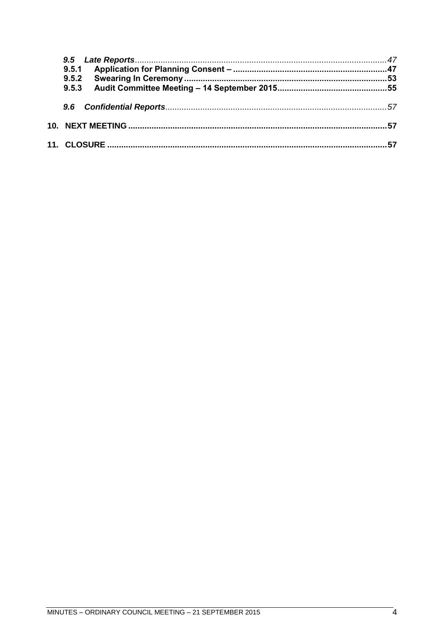| 9.5.1 |  |
|-------|--|
| 9.5.2 |  |
| 9.5.3 |  |
|       |  |
|       |  |
|       |  |
|       |  |
|       |  |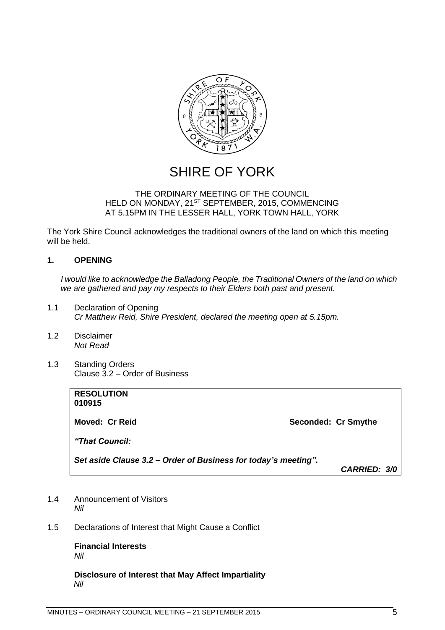

# SHIRE OF YORK

#### THE ORDINARY MEETING OF THE COUNCIL HELD ON MONDAY, 21<sup>ST</sup> SEPTEMBER, 2015, COMMENCING AT 5.15PM IN THE LESSER HALL, YORK TOWN HALL, YORK

The York Shire Council acknowledges the traditional owners of the land on which this meeting will be held.

#### <span id="page-4-0"></span>**1. OPENING**

*I would like to acknowledge the Balladong People, the Traditional Owners of the land on which we are gathered and pay my respects to their Elders both past and present.*

- <span id="page-4-1"></span>1.1 Declaration of Opening *Cr Matthew Reid, Shire President, declared the meeting open at 5.15pm.*
- <span id="page-4-2"></span>1.2 Disclaimer *Not Read*
- <span id="page-4-3"></span>1.3 Standing Orders Clause 3.2 – Order of Business

| <b>RESOLUTION</b><br>010915                                    |                     |
|----------------------------------------------------------------|---------------------|
| Moved: Cr Reid                                                 | Seconded: Cr Smythe |
| "That Council:                                                 |                     |
| Set aside Clause 3.2 – Order of Business for today's meeting". |                     |
|                                                                | <b>CARRIED: 3/0</b> |

- <span id="page-4-4"></span>1.4 Announcement of Visitors *Nil*
- <span id="page-4-6"></span><span id="page-4-5"></span>1.5 Declarations of Interest that Might Cause a Conflict

**Financial Interests** *Nil*

<span id="page-4-7"></span>**Disclosure of Interest that May Affect Impartiality** *Nil*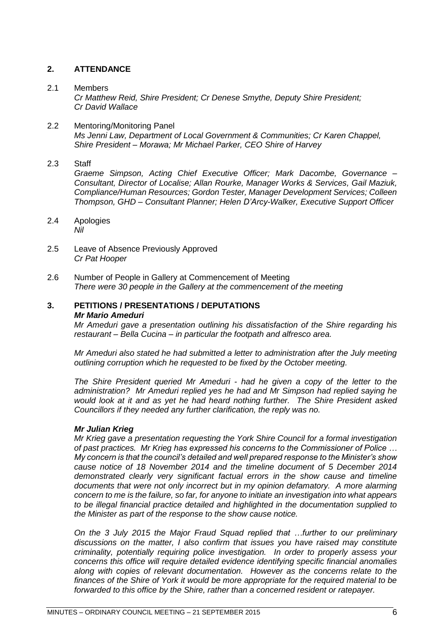#### <span id="page-5-0"></span>**2. ATTENDANCE**

#### <span id="page-5-1"></span>2.1 Members

*Cr Matthew Reid, Shire President; Cr Denese Smythe, Deputy Shire President; Cr David Wallace*

#### <span id="page-5-2"></span>2.2 Mentoring/Monitoring Panel *Ms Jenni Law, Department of Local Government & Communities; Cr Karen Chappel, Shire President – Morawa; Mr Michael Parker, CEO Shire of Harvey*

<span id="page-5-3"></span>2.3 Staff

*Graeme Simpson, Acting Chief Executive Officer; Mark Dacombe, Governance – Consultant, Director of Localise; Allan Rourke, Manager Works & Services, Gail Maziuk, Compliance/Human Resources; Gordon Tester, Manager Development Services; Colleen Thompson, GHD – Consultant Planner; Helen D'Arcy-Walker, Executive Support Officer*

- <span id="page-5-4"></span>2.4 Apologies *Nil*
- <span id="page-5-5"></span>2.5 Leave of Absence Previously Approved *Cr Pat Hooper*
- <span id="page-5-6"></span>2.6 Number of People in Gallery at Commencement of Meeting *There were 30 people in the Gallery at the commencement of the meeting*

#### <span id="page-5-7"></span>**3. PETITIONS / PRESENTATIONS / DEPUTATIONS** *Mr Mario Ameduri*

*Mr Ameduri gave a presentation outlining his dissatisfaction of the Shire regarding his restaurant – Bella Cucina – in particular the footpath and alfresco area.* 

*Mr Ameduri also stated he had submitted a letter to administration after the July meeting outlining corruption which he requested to be fixed by the October meeting.*

*The Shire President queried Mr Ameduri - had he given a copy of the letter to the administration? Mr Ameduri replied yes he had and Mr Simpson had replied saying he would look at it and as yet he had heard nothing further. The Shire President asked Councillors if they needed any further clarification, the reply was no.*

#### *Mr Julian Krieg*

*Mr Krieg gave a presentation requesting the York Shire Council for a formal investigation of past practices. Mr Krieg has expressed his concerns to the Commissioner of Police … My concern is that the council's detailed and well prepared response to the Minister's show cause notice of 18 November 2014 and the timeline document of 5 December 2014 demonstrated clearly very significant factual errors in the show cause and timeline documents that were not only incorrect but in my opinion defamatory. A more alarming concern to me is the failure, so far, for anyone to initiate an investigation into what appears to be illegal financial practice detailed and highlighted in the documentation supplied to the Minister as part of the response to the show cause notice.* 

*On the 3 July 2015 the Major Fraud Squad replied that …further to our preliminary discussions on the matter, I also confirm that issues you have raised may constitute criminality, potentially requiring police investigation. In order to properly assess your concerns this office will require detailed evidence identifying specific financial anomalies along with copies of relevant documentation. However as the concerns relate to the finances of the Shire of York it would be more appropriate for the required material to be forwarded to this office by the Shire, rather than a concerned resident or ratepayer.*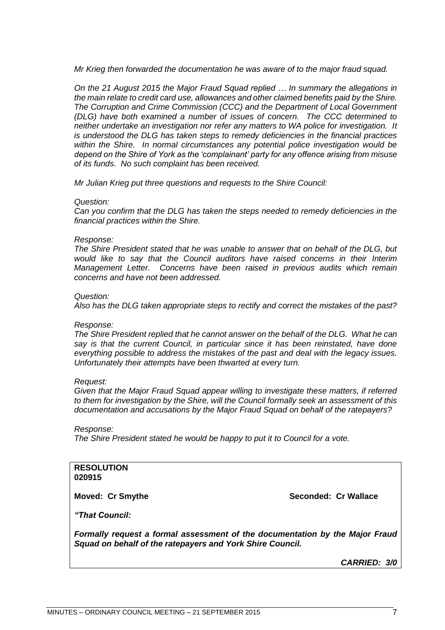*Mr Krieg then forwarded the documentation he was aware of to the major fraud squad.*

*On the 21 August 2015 the Major Fraud Squad replied … In summary the allegations in the main relate to credit card use, allowances and other claimed benefits paid by the Shire. The Corruption and Crime Commission (CCC) and the Department of Local Government (DLG) have both examined a number of issues of concern. The CCC determined to neither undertake an investigation nor refer any matters to WA police for investigation. It is understood the DLG has taken steps to remedy deficiencies in the financial practices within the Shire. In normal circumstances any potential police investigation would be depend on the Shire of York as the 'complainant' party for any offence arising from misuse of its funds. No such complaint has been received.*

*Mr Julian Krieg put three questions and requests to the Shire Council:*

#### *Question:*

*Can you confirm that the DLG has taken the steps needed to remedy deficiencies in the financial practices within the Shire.*

#### *Response:*

*The Shire President stated that he was unable to answer that on behalf of the DLG, but would like to say that the Council auditors have raised concerns in their Interim Management Letter. Concerns have been raised in previous audits which remain concerns and have not been addressed.*

#### *Question:*

*Also has the DLG taken appropriate steps to rectify and correct the mistakes of the past?*

#### *Response:*

*The Shire President replied that he cannot answer on the behalf of the DLG. What he can say is that the current Council, in particular since it has been reinstated, have done everything possible to address the mistakes of the past and deal with the legacy issues. Unfortunately their attempts have been thwarted at every turn.*

#### *Request:*

*Given that the Major Fraud Squad appear willing to investigate these matters, if referred to them for investigation by the Shire, will the Council formally seek an assessment of this documentation and accusations by the Major Fraud Squad on behalf of the ratepayers?*

#### *Response:*

*The Shire President stated he would be happy to put it to Council for a vote.*

#### **RESOLUTION 020915**

**Moved: Cr Smythe Seconded: Cr Wallace**

*"That Council:*

<span id="page-6-0"></span>*Formally request a formal assessment of the documentation by the Major Fraud Squad on behalf of the ratepayers and York Shire Council.*

*CARRIED: 3/0*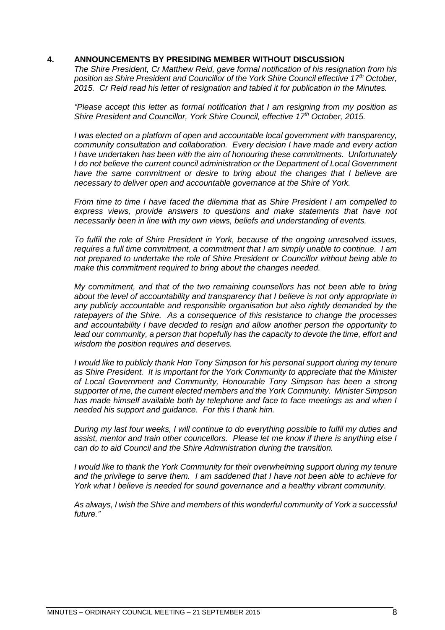#### **4. ANNOUNCEMENTS BY PRESIDING MEMBER WITHOUT DISCUSSION**

*The Shire President, Cr Matthew Reid, gave formal notification of his resignation from his position as Shire President and Councillor of the York Shire Council effective 17th October, 2015. Cr Reid read his letter of resignation and tabled it for publication in the Minutes.*

*"Please accept this letter as formal notification that I am resigning from my position as Shire President and Councillor, York Shire Council, effective 17th October, 2015.*

*I was elected on a platform of open and accountable local government with transparency, community consultation and collaboration. Every decision I have made and every action I have undertaken has been with the aim of honouring these commitments. Unfortunately I do not believe the current council administration or the Department of Local Government*  have the same commitment or desire to bring about the changes that I believe are *necessary to deliver open and accountable governance at the Shire of York.*

*From time to time I have faced the dilemma that as Shire President I am compelled to*  express views, provide answers to questions and make statements that have not *necessarily been in line with my own views, beliefs and understanding of events.*

*To fulfil the role of Shire President in York, because of the ongoing unresolved issues, requires a full time commitment, a commitment that I am simply unable to continue. I am not prepared to undertake the role of Shire President or Councillor without being able to make this commitment required to bring about the changes needed.*

*My commitment, and that of the two remaining counsellors has not been able to bring about the level of accountability and transparency that I believe is not only appropriate in any publicly accountable and responsible organisation but also rightly demanded by the ratepayers of the Shire. As a consequence of this resistance to change the processes and accountability I have decided to resign and allow another person the opportunity to*  lead our community, a person that hopefully has the capacity to devote the time, effort and *wisdom the position requires and deserves.*

*I* would like to publicly thank Hon Tony Simpson for his personal support during my tenure *as Shire President. It is important for the York Community to appreciate that the Minister of Local Government and Community, Honourable Tony Simpson has been a strong supporter of me, the current elected members and the York Community. Minister Simpson has made himself available both by telephone and face to face meetings as and when I needed his support and guidance. For this I thank him.*

*During my last four weeks, I will continue to do everything possible to fulfil my duties and assist, mentor and train other councellors. Please let me know if there is anything else I can do to aid Council and the Shire Administration during the transition.*

*I would like to thank the York Community for their overwhelming support during my tenure and the privilege to serve them. I am saddened that I have not been able to achieve for York what I believe is needed for sound governance and a healthy vibrant community.*

*As always, I wish the Shire and members of this wonderful community of York a successful future."*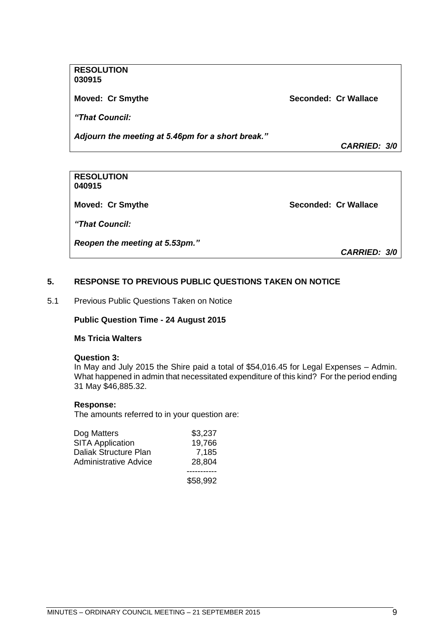#### **RESOLUTION 030915**

**Moved: Cr Smythe Seconded: Cr Wallace**

*"That Council:*

*Adjourn the meeting at 5.46pm for a short break."*

*CARRIED: 3/0*

#### **RESOLUTION 040915**

**Moved: Cr Smythe Seconded: Cr Wallace** 

*"That Council:*

*Reopen the meeting at 5.53pm."*

*CARRIED: 3/0*

#### <span id="page-8-0"></span>**5. RESPONSE TO PREVIOUS PUBLIC QUESTIONS TAKEN ON NOTICE**

<span id="page-8-1"></span>5.1 Previous Public Questions Taken on Notice

#### **Public Question Time - 24 August 2015**

#### **Ms Tricia Walters**

#### **Question 3:**

In May and July 2015 the Shire paid a total of \$54,016.45 for Legal Expenses – Admin. What happened in admin that necessitated expenditure of this kind? For the period ending 31 May \$46,885.32.

#### **Response:**

The amounts referred to in your question are:

| Dog Matters                  | \$3,237  |
|------------------------------|----------|
| <b>SITA Application</b>      | 19,766   |
| Daliak Structure Plan        | 7,185    |
| <b>Administrative Advice</b> | 28,804   |
|                              |          |
|                              | \$58.992 |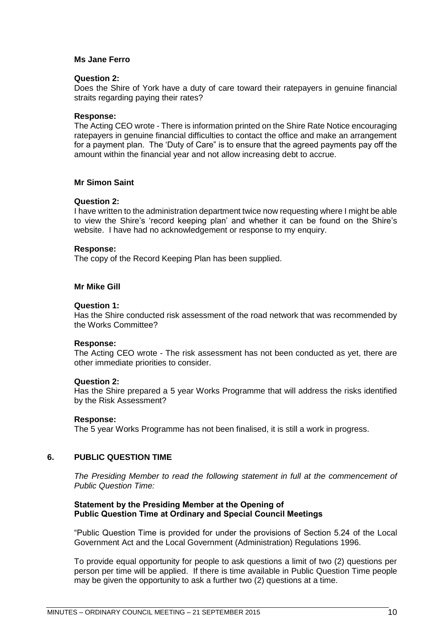#### **Ms Jane Ferro**

#### **Question 2:**

Does the Shire of York have a duty of care toward their ratepayers in genuine financial straits regarding paying their rates?

#### **Response:**

The Acting CEO wrote - There is information printed on the Shire Rate Notice encouraging ratepayers in genuine financial difficulties to contact the office and make an arrangement for a payment plan. The 'Duty of Care" is to ensure that the agreed payments pay off the amount within the financial year and not allow increasing debt to accrue.

#### **Mr Simon Saint**

#### **Question 2:**

I have written to the administration department twice now requesting where I might be able to view the Shire's 'record keeping plan' and whether it can be found on the Shire's website. I have had no acknowledgement or response to my enquiry.

#### **Response:**

The copy of the Record Keeping Plan has been supplied.

#### **Mr Mike Gill**

#### **Question 1:**

Has the Shire conducted risk assessment of the road network that was recommended by the Works Committee?

#### **Response:**

The Acting CEO wrote - The risk assessment has not been conducted as yet, there are other immediate priorities to consider.

#### **Question 2:**

Has the Shire prepared a 5 year Works Programme that will address the risks identified by the Risk Assessment?

#### **Response:**

The 5 year Works Programme has not been finalised, it is still a work in progress.

#### <span id="page-9-0"></span>**6. PUBLIC QUESTION TIME**

*The Presiding Member to read the following statement in full at the commencement of Public Question Time:*

#### **Statement by the Presiding Member at the Opening of Public Question Time at Ordinary and Special Council Meetings**

"Public Question Time is provided for under the provisions of Section 5.24 of the Local Government Act and the Local Government (Administration) Regulations 1996.

To provide equal opportunity for people to ask questions a limit of two (2) questions per person per time will be applied. If there is time available in Public Question Time people may be given the opportunity to ask a further two (2) questions at a time.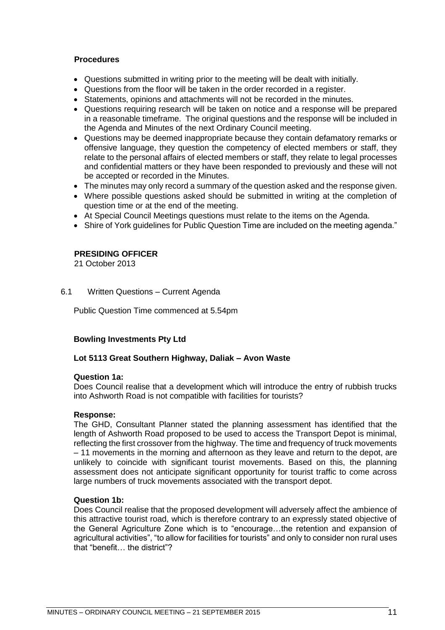#### **Procedures**

- Questions submitted in writing prior to the meeting will be dealt with initially.
- Questions from the floor will be taken in the order recorded in a register.
- Statements, opinions and attachments will not be recorded in the minutes.
- Questions requiring research will be taken on notice and a response will be prepared in a reasonable timeframe. The original questions and the response will be included in the Agenda and Minutes of the next Ordinary Council meeting.
- Questions may be deemed inappropriate because they contain defamatory remarks or offensive language, they question the competency of elected members or staff, they relate to the personal affairs of elected members or staff, they relate to legal processes and confidential matters or they have been responded to previously and these will not be accepted or recorded in the Minutes.
- The minutes may only record a summary of the question asked and the response given.
- Where possible questions asked should be submitted in writing at the completion of question time or at the end of the meeting.
- At Special Council Meetings questions must relate to the items on the Agenda.
- Shire of York guidelines for Public Question Time are included on the meeting agenda."

#### **PRESIDING OFFICER**

21 October 2013

#### <span id="page-10-0"></span>6.1 Written Questions – Current Agenda

Public Question Time commenced at 5.54pm

#### **Bowling Investments Pty Ltd**

#### **Lot 5113 Great Southern Highway, Daliak – Avon Waste**

#### **Question 1a:**

Does Council realise that a development which will introduce the entry of rubbish trucks into Ashworth Road is not compatible with facilities for tourists?

#### **Response:**

The GHD, Consultant Planner stated the planning assessment has identified that the length of Ashworth Road proposed to be used to access the Transport Depot is minimal, reflecting the first crossover from the highway. The time and frequency of truck movements – 11 movements in the morning and afternoon as they leave and return to the depot, are unlikely to coincide with significant tourist movements. Based on this, the planning assessment does not anticipate significant opportunity for tourist traffic to come across large numbers of truck movements associated with the transport depot.

#### **Question 1b:**

Does Council realise that the proposed development will adversely affect the ambience of this attractive tourist road, which is therefore contrary to an expressly stated objective of the General Agriculture Zone which is to "encourage…the retention and expansion of agricultural activities", "to allow for facilities for tourists" and only to consider non rural uses that "benefit… the district"?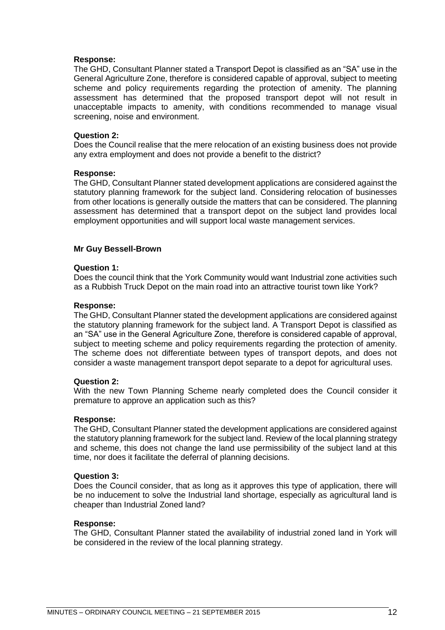#### **Response:**

The GHD, Consultant Planner stated a Transport Depot is classified as an "SA" use in the General Agriculture Zone, therefore is considered capable of approval, subject to meeting scheme and policy requirements regarding the protection of amenity. The planning assessment has determined that the proposed transport depot will not result in unacceptable impacts to amenity, with conditions recommended to manage visual screening, noise and environment.

#### **Question 2:**

Does the Council realise that the mere relocation of an existing business does not provide any extra employment and does not provide a benefit to the district?

#### **Response:**

The GHD, Consultant Planner stated development applications are considered against the statutory planning framework for the subject land. Considering relocation of businesses from other locations is generally outside the matters that can be considered. The planning assessment has determined that a transport depot on the subject land provides local employment opportunities and will support local waste management services.

#### **Mr Guy Bessell-Brown**

#### **Question 1:**

Does the council think that the York Community would want Industrial zone activities such as a Rubbish Truck Depot on the main road into an attractive tourist town like York?

#### **Response:**

The GHD, Consultant Planner stated the development applications are considered against the statutory planning framework for the subject land. A Transport Depot is classified as an "SA" use in the General Agriculture Zone, therefore is considered capable of approval, subject to meeting scheme and policy requirements regarding the protection of amenity. The scheme does not differentiate between types of transport depots, and does not consider a waste management transport depot separate to a depot for agricultural uses.

#### **Question 2:**

With the new Town Planning Scheme nearly completed does the Council consider it premature to approve an application such as this?

#### **Response:**

The GHD, Consultant Planner stated the development applications are considered against the statutory planning framework for the subject land. Review of the local planning strategy and scheme, this does not change the land use permissibility of the subject land at this time, nor does it facilitate the deferral of planning decisions.

#### **Question 3:**

Does the Council consider, that as long as it approves this type of application, there will be no inducement to solve the Industrial land shortage, especially as agricultural land is cheaper than Industrial Zoned land?

#### **Response:**

The GHD, Consultant Planner stated the availability of industrial zoned land in York will be considered in the review of the local planning strategy.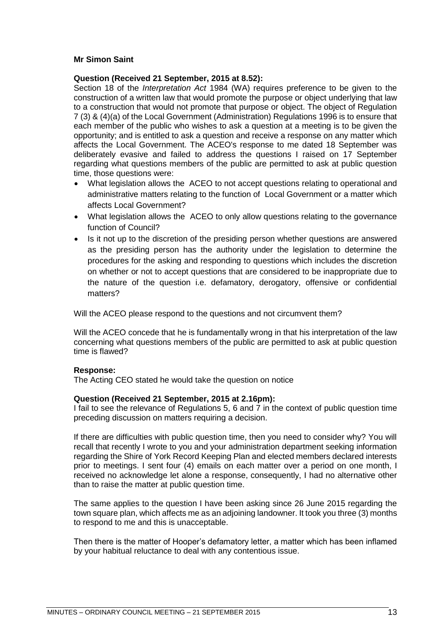#### **Mr Simon Saint**

#### **Question (Received 21 September, 2015 at 8.52):**

Section 18 of the *Interpretation Act* 1984 (WA) requires preference to be given to the construction of a written law that would promote the purpose or object underlying that law to a construction that would not promote that purpose or object. The object of Regulation 7 (3) & (4)(a) of the Local Government (Administration) Regulations 1996 is to ensure that each member of the public who wishes to ask a question at a meeting is to be given the opportunity; and is entitled to ask a question and receive a response on any matter which affects the Local Government. The ACEO's response to me dated 18 September was deliberately evasive and failed to address the questions I raised on 17 September regarding what questions members of the public are permitted to ask at public question time, those questions were:

- What legislation allows the ACEO to not accept questions relating to operational and administrative matters relating to the function of Local Government or a matter which affects Local Government?
- What legislation allows the ACEO to only allow questions relating to the governance function of Council?
- Is it not up to the discretion of the presiding person whether questions are answered as the presiding person has the authority under the legislation to determine the procedures for the asking and responding to questions which includes the discretion on whether or not to accept questions that are considered to be inappropriate due to the nature of the question i.e. defamatory, derogatory, offensive or confidential matters?

Will the ACEO please respond to the questions and not circumvent them?

Will the ACEO concede that he is fundamentally wrong in that his interpretation of the law concerning what questions members of the public are permitted to ask at public question time is flawed?

#### **Response:**

The Acting CEO stated he would take the question on notice

#### **Question (Received 21 September, 2015 at 2.16pm):**

I fail to see the relevance of Regulations 5, 6 and 7 in the context of public question time preceding discussion on matters requiring a decision.

If there are difficulties with public question time, then you need to consider why? You will recall that recently I wrote to you and your administration department seeking information regarding the Shire of York Record Keeping Plan and elected members declared interests prior to meetings. I sent four (4) emails on each matter over a period on one month, I received no acknowledge let alone a response, consequently, I had no alternative other than to raise the matter at public question time.

The same applies to the question I have been asking since 26 June 2015 regarding the town square plan, which affects me as an adjoining landowner. It took you three (3) months to respond to me and this is unacceptable.

Then there is the matter of Hooper's defamatory letter, a matter which has been inflamed by your habitual reluctance to deal with any contentious issue.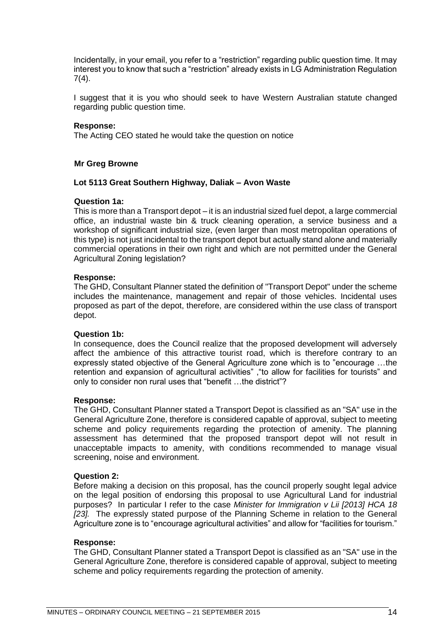Incidentally, in your email, you refer to a "restriction" regarding public question time. It may interest you to know that such a "restriction" already exists in LG Administration Regulation 7(4).

I suggest that it is you who should seek to have Western Australian statute changed regarding public question time.

#### **Response:**

The Acting CEO stated he would take the question on notice

#### **Mr Greg Browne**

#### **Lot 5113 Great Southern Highway, Daliak – Avon Waste**

#### **Question 1a:**

This is more than a Transport depot – it is an industrial sized fuel depot, a large commercial office, an industrial waste bin & truck cleaning operation, a service business and a workshop of significant industrial size, (even larger than most metropolitan operations of this type) is not just incidental to the transport depot but actually stand alone and materially commercial operations in their own right and which are not permitted under the General Agricultural Zoning legislation?

#### **Response:**

The GHD, Consultant Planner stated the definition of "Transport Depot" under the scheme includes the maintenance, management and repair of those vehicles. Incidental uses proposed as part of the depot, therefore, are considered within the use class of transport depot.

#### **Question 1b:**

In consequence, does the Council realize that the proposed development will adversely affect the ambience of this attractive tourist road, which is therefore contrary to an expressly stated objective of the General Agriculture zone which is to "encourage …the retention and expansion of agricultural activities" ,"to allow for facilities for tourists" and only to consider non rural uses that "benefit …the district"?

#### **Response:**

The GHD, Consultant Planner stated a Transport Depot is classified as an "SA" use in the General Agriculture Zone, therefore is considered capable of approval, subject to meeting scheme and policy requirements regarding the protection of amenity. The planning assessment has determined that the proposed transport depot will not result in unacceptable impacts to amenity, with conditions recommended to manage visual screening, noise and environment.

#### **Question 2:**

Before making a decision on this proposal, has the council properly sought legal advice on the legal position of endorsing this proposal to use Agricultural Land for industrial purposes? In particular I refer to the case *Minister for Immigration v Lii [2013] HCA 18 [23].* The expressly stated purpose of the Planning Scheme in relation to the General Agriculture zone is to "encourage agricultural activities" and allow for "facilities for tourism."

#### **Response:**

The GHD, Consultant Planner stated a Transport Depot is classified as an "SA" use in the General Agriculture Zone, therefore is considered capable of approval, subject to meeting scheme and policy requirements regarding the protection of amenity.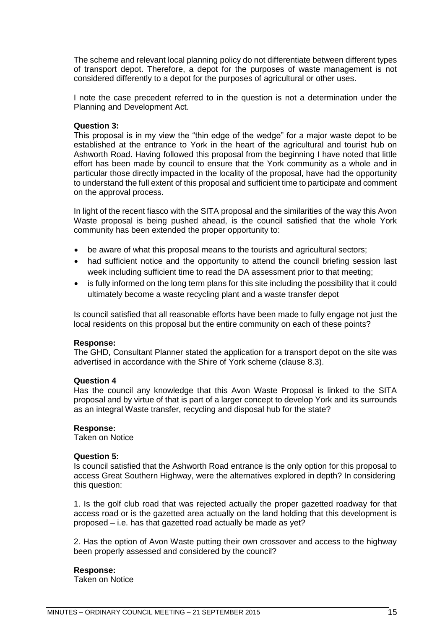The scheme and relevant local planning policy do not differentiate between different types of transport depot. Therefore, a depot for the purposes of waste management is not considered differently to a depot for the purposes of agricultural or other uses.

I note the case precedent referred to in the question is not a determination under the Planning and Development Act.

#### **Question 3:**

This proposal is in my view the "thin edge of the wedge" for a major waste depot to be established at the entrance to York in the heart of the agricultural and tourist hub on Ashworth Road. Having followed this proposal from the beginning I have noted that little effort has been made by council to ensure that the York community as a whole and in particular those directly impacted in the locality of the proposal, have had the opportunity to understand the full extent of this proposal and sufficient time to participate and comment on the approval process.

In light of the recent fiasco with the SITA proposal and the similarities of the way this Avon Waste proposal is being pushed ahead, is the council satisfied that the whole York community has been extended the proper opportunity to:

- be aware of what this proposal means to the tourists and agricultural sectors;
- had sufficient notice and the opportunity to attend the council briefing session last week including sufficient time to read the DA assessment prior to that meeting;
- is fully informed on the long term plans for this site including the possibility that it could ultimately become a waste recycling plant and a waste transfer depot

Is council satisfied that all reasonable efforts have been made to fully engage not just the local residents on this proposal but the entire community on each of these points?

#### **Response:**

The GHD, Consultant Planner stated the application for a transport depot on the site was advertised in accordance with the Shire of York scheme (clause 8.3).

#### **Question 4**

Has the council any knowledge that this Avon Waste Proposal is linked to the SITA proposal and by virtue of that is part of a larger concept to develop York and its surrounds as an integral Waste transfer, recycling and disposal hub for the state?

#### **Response:**

Taken on Notice

#### **Question 5:**

Is council satisfied that the Ashworth Road entrance is the only option for this proposal to access Great Southern Highway, were the alternatives explored in depth? In considering this question:

1. Is the golf club road that was rejected actually the proper gazetted roadway for that access road or is the gazetted area actually on the land holding that this development is proposed – i.e. has that gazetted road actually be made as yet?

2. Has the option of Avon Waste putting their own crossover and access to the highway been properly assessed and considered by the council?

#### **Response:**

Taken on Notice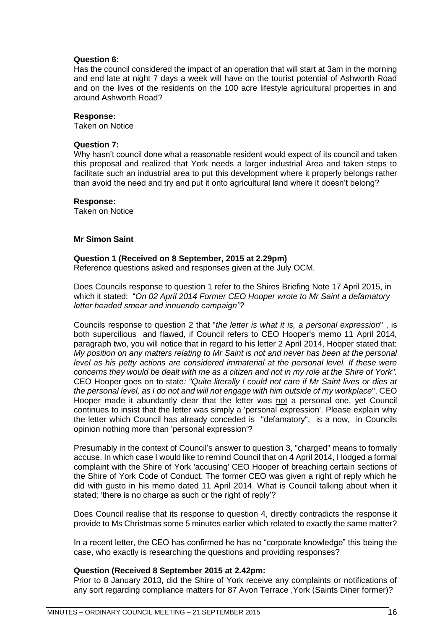#### **Question 6:**

Has the council considered the impact of an operation that will start at 3am in the morning and end late at night 7 days a week will have on the tourist potential of Ashworth Road and on the lives of the residents on the 100 acre lifestyle agricultural properties in and around Ashworth Road?

#### **Response:**

Taken on Notice

#### **Question 7:**

Why hasn't council done what a reasonable resident would expect of its council and taken this proposal and realized that York needs a larger industrial Area and taken steps to facilitate such an industrial area to put this development where it properly belongs rather than avoid the need and try and put it onto agricultural land where it doesn't belong?

#### **Response:**

Taken on Notice

#### **Mr Simon Saint**

#### **Question 1 (Received on 8 September, 2015 at 2.29pm)**

Reference questions asked and responses given at the July OCM.

Does Councils response to question 1 refer to the Shires Briefing Note 17 April 2015, in which it stated: "*On 02 April 2014 Former CEO Hooper wrote to Mr Saint a defamatory letter headed smear and innuendo campaign"?*

Councils response to question 2 that "*the letter is what it is, a personal expression*" , is both supercilious and flawed, if Council refers to CEO Hooper's memo 11 April 2014, paragraph two, you will notice that in regard to his letter 2 April 2014, Hooper stated that: *My position on any matters relating to Mr Saint is not and never has been at the personal*  level as his petty actions are considered immaterial at the personal level. If these were *concerns they would be dealt with me as a citizen and not in my role at the Shire of York".*  CEO Hooper goes on to state*: "Quite literally I could not care if Mr Saint lives or dies at the personal level, as I do not and will not engage with him outside of my workplace*". CEO Hooper made it abundantly clear that the letter was not a personal one, yet Council continues to insist that the letter was simply a 'personal expression'. Please explain why the letter which Council has already conceded is "defamatory", is a now, in Councils opinion nothing more than 'personal expression'?

Presumably in the context of Council's answer to question 3, "charged" means to formally accuse. In which case I would like to remind Council that on 4 April 2014, I lodged a formal complaint with the Shire of York 'accusing' CEO Hooper of breaching certain sections of the Shire of York Code of Conduct. The former CEO was given a right of reply which he did with gusto in his memo dated 11 April 2014. What is Council talking about when it stated; 'there is no charge as such or the right of reply'?

Does Council realise that its response to question 4, directly contradicts the response it provide to Ms Christmas some 5 minutes earlier which related to exactly the same matter?

In a recent letter, the CEO has confirmed he has no "corporate knowledge" this being the case, who exactly is researching the questions and providing responses?

#### **Question (Received 8 September 2015 at 2.42pm:**

Prior to 8 January 2013, did the Shire of York receive any complaints or notifications of any sort regarding compliance matters for 87 Avon Terrace ,York (Saints Diner former)?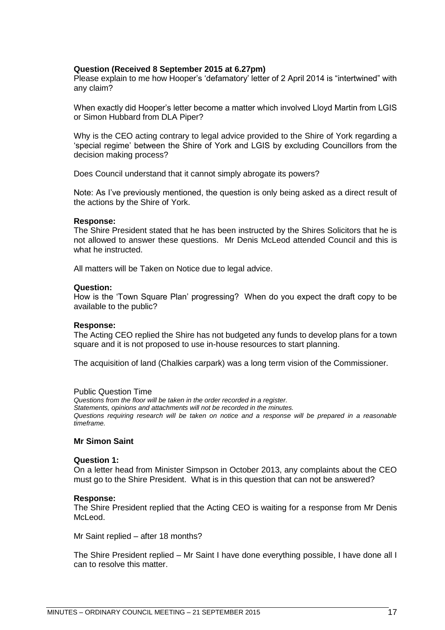#### **Question (Received 8 September 2015 at 6.27pm)**

Please explain to me how Hooper's 'defamatory' letter of 2 April 2014 is "intertwined" with any claim?

When exactly did Hooper's letter become a matter which involved Lloyd Martin from LGIS or Simon Hubbard from DLA Piper?

Why is the CEO acting contrary to legal advice provided to the Shire of York regarding a 'special regime' between the Shire of York and LGIS by excluding Councillors from the decision making process?

Does Council understand that it cannot simply abrogate its powers?

Note: As I've previously mentioned, the question is only being asked as a direct result of the actions by the Shire of York.

#### **Response:**

The Shire President stated that he has been instructed by the Shires Solicitors that he is not allowed to answer these questions. Mr Denis McLeod attended Council and this is what he instructed.

All matters will be Taken on Notice due to legal advice.

#### **Question:**

How is the 'Town Square Plan' progressing? When do you expect the draft copy to be available to the public?

#### **Response:**

The Acting CEO replied the Shire has not budgeted any funds to develop plans for a town square and it is not proposed to use in-house resources to start planning.

The acquisition of land (Chalkies carpark) was a long term vision of the Commissioner.

#### Public Question Time

*Questions from the floor will be taken in the order recorded in a register. Statements, opinions and attachments will not be recorded in the minutes. Questions requiring research will be taken on notice and a response will be prepared in a reasonable timeframe.*

#### **Mr Simon Saint**

#### **Question 1:**

On a letter head from Minister Simpson in October 2013, any complaints about the CEO must go to the Shire President. What is in this question that can not be answered?

#### **Response:**

The Shire President replied that the Acting CEO is waiting for a response from Mr Denis McLeod.

Mr Saint replied – after 18 months?

The Shire President replied – Mr Saint I have done everything possible, I have done all I can to resolve this matter.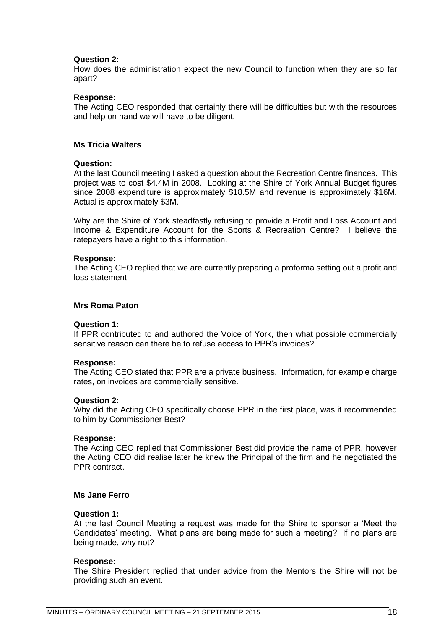#### **Question 2:**

How does the administration expect the new Council to function when they are so far apart?

#### **Response:**

The Acting CEO responded that certainly there will be difficulties but with the resources and help on hand we will have to be diligent.

#### **Ms Tricia Walters**

#### **Question:**

At the last Council meeting I asked a question about the Recreation Centre finances. This project was to cost \$4.4M in 2008. Looking at the Shire of York Annual Budget figures since 2008 expenditure is approximately \$18.5M and revenue is approximately \$16M. Actual is approximately \$3M.

Why are the Shire of York steadfastly refusing to provide a Profit and Loss Account and Income & Expenditure Account for the Sports & Recreation Centre? I believe the ratepayers have a right to this information.

#### **Response:**

The Acting CEO replied that we are currently preparing a proforma setting out a profit and loss statement.

#### **Mrs Roma Paton**

#### **Question 1:**

If PPR contributed to and authored the Voice of York, then what possible commercially sensitive reason can there be to refuse access to PPR's invoices?

#### **Response:**

The Acting CEO stated that PPR are a private business. Information, for example charge rates, on invoices are commercially sensitive.

#### **Question 2:**

Why did the Acting CEO specifically choose PPR in the first place, was it recommended to him by Commissioner Best?

#### **Response:**

The Acting CEO replied that Commissioner Best did provide the name of PPR, however the Acting CEO did realise later he knew the Principal of the firm and he negotiated the PPR contract.

#### **Ms Jane Ferro**

#### **Question 1:**

At the last Council Meeting a request was made for the Shire to sponsor a 'Meet the Candidates' meeting. What plans are being made for such a meeting? If no plans are being made, why not?

#### **Response:**

The Shire President replied that under advice from the Mentors the Shire will not be providing such an event.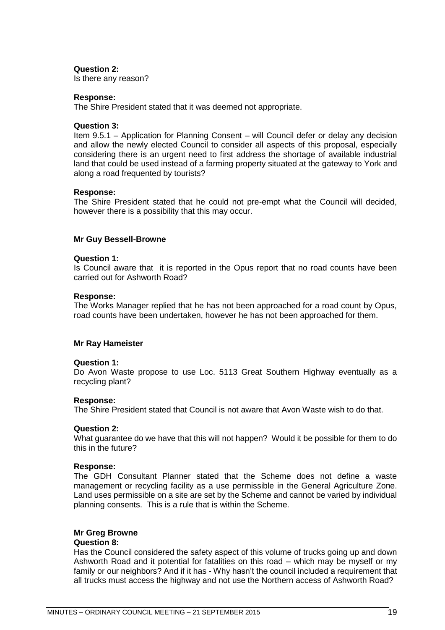#### **Question 2:**

Is there any reason?

#### **Response:**

The Shire President stated that it was deemed not appropriate.

#### **Question 3:**

Item 9.5.1 – Application for Planning Consent – will Council defer or delay any decision and allow the newly elected Council to consider all aspects of this proposal, especially considering there is an urgent need to first address the shortage of available industrial land that could be used instead of a farming property situated at the gateway to York and along a road frequented by tourists?

#### **Response:**

The Shire President stated that he could not pre-empt what the Council will decided, however there is a possibility that this may occur.

#### **Mr Guy Bessell-Browne**

#### **Question 1:**

Is Council aware that it is reported in the Opus report that no road counts have been carried out for Ashworth Road?

#### **Response:**

The Works Manager replied that he has not been approached for a road count by Opus, road counts have been undertaken, however he has not been approached for them.

#### **Mr Ray Hameister**

#### **Question 1:**

Do Avon Waste propose to use Loc. 5113 Great Southern Highway eventually as a recycling plant?

#### **Response:**

The Shire President stated that Council is not aware that Avon Waste wish to do that.

#### **Question 2:**

What guarantee do we have that this will not happen? Would it be possible for them to do this in the future?

#### **Response:**

The GDH Consultant Planner stated that the Scheme does not define a waste management or recycling facility as a use permissible in the General Agriculture Zone. Land uses permissible on a site are set by the Scheme and cannot be varied by individual planning consents. This is a rule that is within the Scheme.

#### **Mr Greg Browne**

#### **Question 8:**

Has the Council considered the safety aspect of this volume of trucks going up and down Ashworth Road and it potential for fatalities on this road – which may be myself or my family or our neighbors? And if it has - Why hasn't the council included a requirement that all trucks must access the highway and not use the Northern access of Ashworth Road?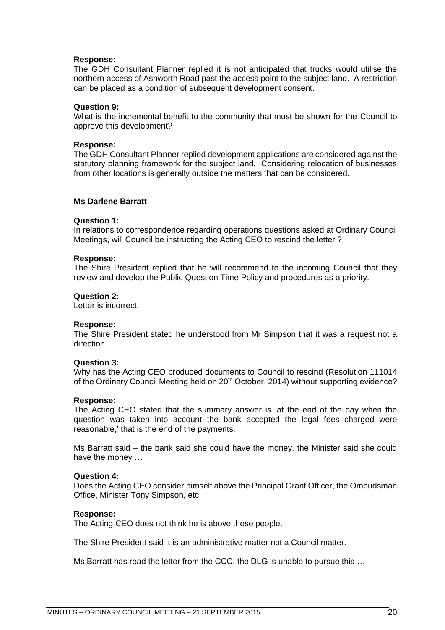#### **Response:**

The GDH Consultant Planner replied it is not anticipated that trucks would utilise the northern access of Ashworth Road past the access point to the subject land. A restriction can be placed as a condition of subsequent development consent.

#### **Question 9:**

What is the incremental benefit to the community that must be shown for the Council to approve this development?

#### **Response:**

The GDH Consultant Planner replied development applications are considered against the statutory planning framework for the subject land. Considering relocation of businesses from other locations is generally outside the matters that can be considered.

#### **Ms Darlene Barratt**

#### **Question 1:**

In relations to correspondence regarding operations questions asked at Ordinary Council Meetings, will Council be instructing the Acting CEO to rescind the letter ?

#### **Response:**

The Shire President replied that he will recommend to the incoming Council that they review and develop the Public Question Time Policy and procedures as a priority.

#### **Question 2:**

Letter is incorrect.

#### **Response:**

The Shire President stated he understood from Mr Simpson that it was a request not a direction.

#### **Question 3:**

Why has the Acting CEO produced documents to Council to rescind (Resolution 111014 of the Ordinary Council Meeting held on 20<sup>th</sup> October, 2014) without supporting evidence?

#### **Response:**

The Acting CEO stated that the summary answer is 'at the end of the day when the question was taken into account the bank accepted the legal fees charged were reasonable,' that is the end of the payments.

Ms Barratt said – the bank said she could have the money, the Minister said she could have the money …

#### **Question 4:**

Does the Acting CEO consider himself above the Principal Grant Officer, the Ombudsman Office, Minister Tony Simpson, etc.

#### **Response:**

The Acting CEO does not think he is above these people.

The Shire President said it is an administrative matter not a Council matter.

Ms Barratt has read the letter from the CCC, the DLG is unable to pursue this …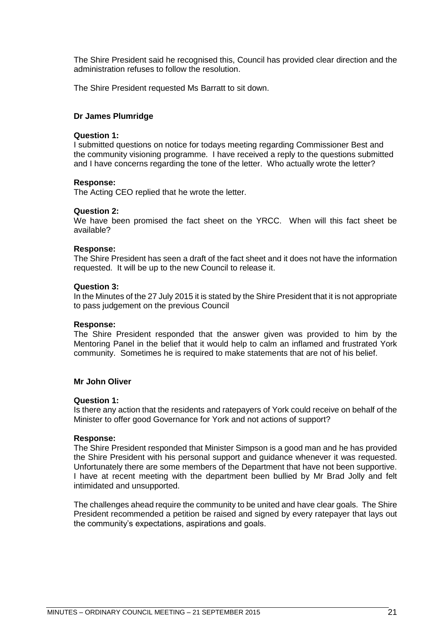The Shire President said he recognised this, Council has provided clear direction and the administration refuses to follow the resolution.

The Shire President requested Ms Barratt to sit down.

#### **Dr James Plumridge**

#### **Question 1:**

I submitted questions on notice for todays meeting regarding Commissioner Best and the community visioning programme. I have received a reply to the questions submitted and I have concerns regarding the tone of the letter. Who actually wrote the letter?

#### **Response:**

The Acting CEO replied that he wrote the letter.

#### **Question 2:**

We have been promised the fact sheet on the YRCC. When will this fact sheet be available?

#### **Response:**

The Shire President has seen a draft of the fact sheet and it does not have the information requested. It will be up to the new Council to release it.

#### **Question 3:**

In the Minutes of the 27 July 2015 it is stated by the Shire President that it is not appropriate to pass judgement on the previous Council

#### **Response:**

The Shire President responded that the answer given was provided to him by the Mentoring Panel in the belief that it would help to calm an inflamed and frustrated York community. Sometimes he is required to make statements that are not of his belief.

#### **Mr John Oliver**

#### **Question 1:**

Is there any action that the residents and ratepayers of York could receive on behalf of the Minister to offer good Governance for York and not actions of support?

#### **Response:**

The Shire President responded that Minister Simpson is a good man and he has provided the Shire President with his personal support and guidance whenever it was requested. Unfortunately there are some members of the Department that have not been supportive. I have at recent meeting with the department been bullied by Mr Brad Jolly and felt intimidated and unsupported.

The challenges ahead require the community to be united and have clear goals. The Shire President recommended a petition be raised and signed by every ratepayer that lays out the community's expectations, aspirations and goals.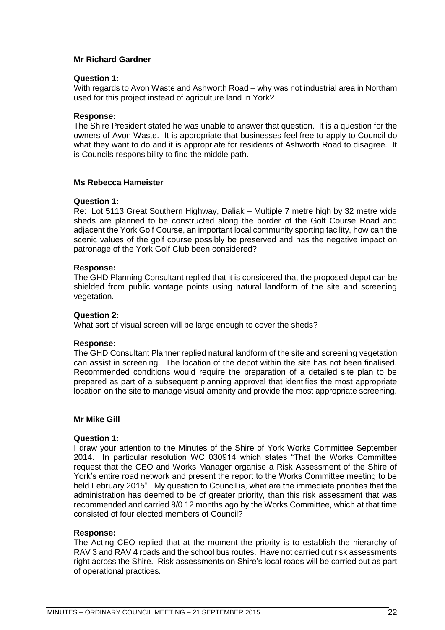#### **Mr Richard Gardner**

#### **Question 1:**

With regards to Avon Waste and Ashworth Road – why was not industrial area in Northam used for this project instead of agriculture land in York?

#### **Response:**

The Shire President stated he was unable to answer that question. It is a question for the owners of Avon Waste. It is appropriate that businesses feel free to apply to Council do what they want to do and it is appropriate for residents of Ashworth Road to disagree. It is Councils responsibility to find the middle path.

#### **Ms Rebecca Hameister**

#### **Question 1:**

Re: Lot 5113 Great Southern Highway, Daliak – Multiple 7 metre high by 32 metre wide sheds are planned to be constructed along the border of the Golf Course Road and adjacent the York Golf Course, an important local community sporting facility, how can the scenic values of the golf course possibly be preserved and has the negative impact on patronage of the York Golf Club been considered?

#### **Response:**

The GHD Planning Consultant replied that it is considered that the proposed depot can be shielded from public vantage points using natural landform of the site and screening vegetation.

#### **Question 2:**

What sort of visual screen will be large enough to cover the sheds?

#### **Response:**

The GHD Consultant Planner replied natural landform of the site and screening vegetation can assist in screening. The location of the depot within the site has not been finalised. Recommended conditions would require the preparation of a detailed site plan to be prepared as part of a subsequent planning approval that identifies the most appropriate location on the site to manage visual amenity and provide the most appropriate screening.

#### **Mr Mike Gill**

#### **Question 1:**

I draw your attention to the Minutes of the Shire of York Works Committee September 2014. In particular resolution WC 030914 which states "That the Works Committee request that the CEO and Works Manager organise a Risk Assessment of the Shire of York's entire road network and present the report to the Works Committee meeting to be held February 2015". My question to Council is, what are the immediate priorities that the administration has deemed to be of greater priority, than this risk assessment that was recommended and carried 8/0 12 months ago by the Works Committee, which at that time consisted of four elected members of Council?

#### **Response:**

The Acting CEO replied that at the moment the priority is to establish the hierarchy of RAV 3 and RAV 4 roads and the school bus routes. Have not carried out risk assessments right across the Shire. Risk assessments on Shire's local roads will be carried out as part of operational practices.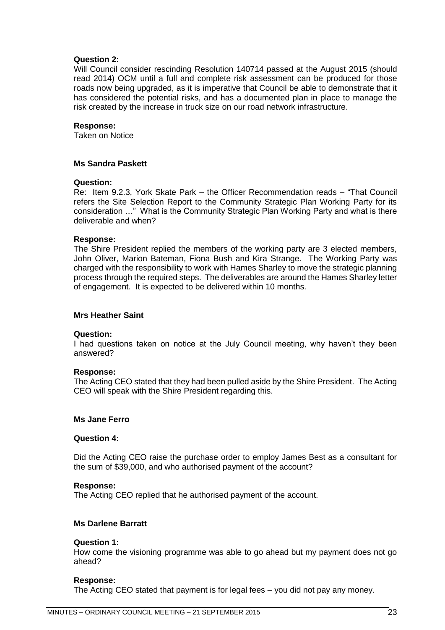#### **Question 2:**

Will Council consider rescinding Resolution 140714 passed at the August 2015 (should read 2014) OCM until a full and complete risk assessment can be produced for those roads now being upgraded, as it is imperative that Council be able to demonstrate that it has considered the potential risks, and has a documented plan in place to manage the risk created by the increase in truck size on our road network infrastructure.

#### **Response:**

Taken on Notice

#### **Ms Sandra Paskett**

#### **Question:**

Re: Item 9.2.3, York Skate Park – the Officer Recommendation reads – "That Council refers the Site Selection Report to the Community Strategic Plan Working Party for its consideration …" What is the Community Strategic Plan Working Party and what is there deliverable and when?

#### **Response:**

The Shire President replied the members of the working party are 3 elected members, John Oliver, Marion Bateman, Fiona Bush and Kira Strange. The Working Party was charged with the responsibility to work with Hames Sharley to move the strategic planning process through the required steps. The deliverables are around the Hames Sharley letter of engagement. It is expected to be delivered within 10 months.

#### **Mrs Heather Saint**

#### **Question:**

I had questions taken on notice at the July Council meeting, why haven't they been answered?

#### **Response:**

The Acting CEO stated that they had been pulled aside by the Shire President. The Acting CEO will speak with the Shire President regarding this.

#### **Ms Jane Ferro**

#### **Question 4:**

Did the Acting CEO raise the purchase order to employ James Best as a consultant for the sum of \$39,000, and who authorised payment of the account?

#### **Response:**

The Acting CEO replied that he authorised payment of the account.

#### **Ms Darlene Barratt**

#### **Question 1:**

How come the visioning programme was able to go ahead but my payment does not go ahead?

#### **Response:**

The Acting CEO stated that payment is for legal fees – you did not pay any money.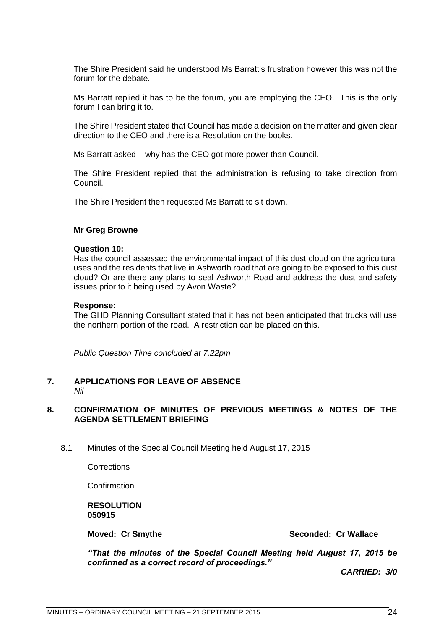The Shire President said he understood Ms Barratt's frustration however this was not the forum for the debate.

Ms Barratt replied it has to be the forum, you are employing the CEO. This is the only forum I can bring it to.

The Shire President stated that Council has made a decision on the matter and given clear direction to the CEO and there is a Resolution on the books.

Ms Barratt asked – why has the CEO got more power than Council.

The Shire President replied that the administration is refusing to take direction from Council.

The Shire President then requested Ms Barratt to sit down.

#### **Mr Greg Browne**

#### **Question 10:**

Has the council assessed the environmental impact of this dust cloud on the agricultural uses and the residents that live in Ashworth road that are going to be exposed to this dust cloud? Or are there any plans to seal Ashworth Road and address the dust and safety issues prior to it being used by Avon Waste?

#### **Response:**

The GHD Planning Consultant stated that it has not been anticipated that trucks will use the northern portion of the road. A restriction can be placed on this.

*Public Question Time concluded at 7.22pm*

#### <span id="page-23-0"></span>**7. APPLICATIONS FOR LEAVE OF ABSENCE**  *Nil*

#### <span id="page-23-1"></span>**8. CONFIRMATION OF MINUTES OF PREVIOUS MEETINGS & NOTES OF THE AGENDA SETTLEMENT BRIEFING**

<span id="page-23-2"></span>8.1 Minutes of the Special Council Meeting held August 17, 2015

**Corrections** 

**Confirmation** 

### <span id="page-23-3"></span>**RESOLUTION 050915 Moved: Cr Smythe Seconded: Cr Wallace** *"That the minutes of the Special Council Meeting held August 17, 2015 be confirmed as a correct record of proceedings." CARRIED: 3/0*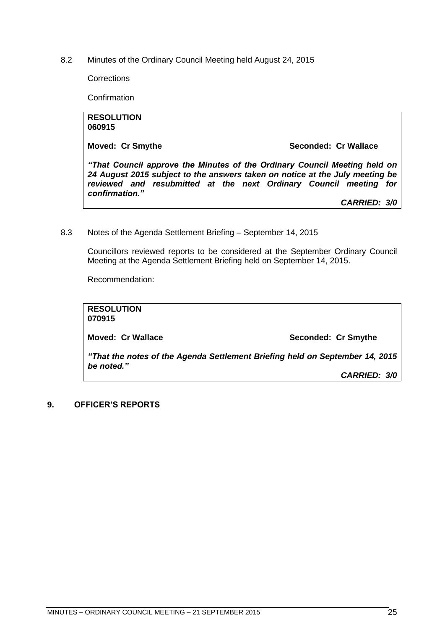8.2 Minutes of the Ordinary Council Meeting held August 24, 2015

**Corrections** 

Confirmation

**RESOLUTION 060915**

**Moved: Cr Smythe Seconded: Cr Wallace**

*"That Council approve the Minutes of the Ordinary Council Meeting held on 24 August 2015 subject to the answers taken on notice at the July meeting be reviewed and resubmitted at the next Ordinary Council meeting for confirmation."*

*CARRIED: 3/0*

<span id="page-24-0"></span>8.3 Notes of the Agenda Settlement Briefing – September 14, 2015

Councillors reviewed reports to be considered at the September Ordinary Council Meeting at the Agenda Settlement Briefing held on September 14, 2015.

Recommendation:

| <b>RESOLUTION</b><br>070915 |                                                                                                     |
|-----------------------------|-----------------------------------------------------------------------------------------------------|
| <b>Moved: Cr Wallace</b>    | Seconded: Cr Smythe                                                                                 |
| be noted."                  | "That the notes of the Agenda Settlement Briefing held on September 14, 2015<br><b>CARRIED: 3/0</b> |

#### <span id="page-24-1"></span>**9. OFFICER'S REPORTS**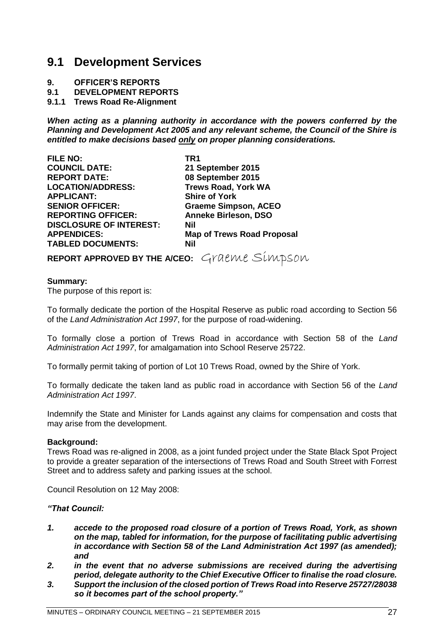### <span id="page-26-0"></span>**9.1 Development Services**

- **9. OFFICER'S REPORTS**
- **9.1 DEVELOPMENT REPORTS**

<span id="page-26-1"></span>**9.1.1 Trews Road Re-Alignment**

*When acting as a planning authority in accordance with the powers conferred by the Planning and Development Act 2005 and any relevant scheme, the Council of the Shire is entitled to make decisions based only on proper planning considerations.*

| TR1                               |
|-----------------------------------|
| 21 September 2015                 |
| 08 September 2015                 |
| <b>Trews Road, York WA</b>        |
| <b>Shire of York</b>              |
| <b>Graeme Simpson, ACEO</b>       |
| <b>Anneke Birleson, DSO</b>       |
| Nil                               |
| <b>Map of Trews Road Proposal</b> |
| Nil                               |
|                                   |

**REPORT APPROVED BY THE A/CEO:** Graeme Simpson

#### **Summary:**

The purpose of this report is:

To formally dedicate the portion of the Hospital Reserve as public road according to Section 56 of the *Land Administration Act 1997*, for the purpose of road-widening.

To formally close a portion of Trews Road in accordance with Section 58 of the *Land Administration Act 1997*, for amalgamation into School Reserve 25722.

To formally permit taking of portion of Lot 10 Trews Road, owned by the Shire of York.

To formally dedicate the taken land as public road in accordance with Section 56 of the *Land Administration Act 1997*.

Indemnify the State and Minister for Lands against any claims for compensation and costs that may arise from the development.

#### **Background:**

Trews Road was re-aligned in 2008, as a joint funded project under the State Black Spot Project to provide a greater separation of the intersections of Trews Road and South Street with Forrest Street and to address safety and parking issues at the school.

Council Resolution on 12 May 2008:

*"That Council:*

- *1. accede to the proposed road closure of a portion of Trews Road, York, as shown on the map, tabled for information, for the purpose of facilitating public advertising in accordance with Section 58 of the Land Administration Act 1997 (as amended); and*
- *2. in the event that no adverse submissions are received during the advertising period, delegate authority to the Chief Executive Officer to finalise the road closure.*
- *3. Support the inclusion of the closed portion of Trews Road into Reserve 25727/28038 so it becomes part of the school property."*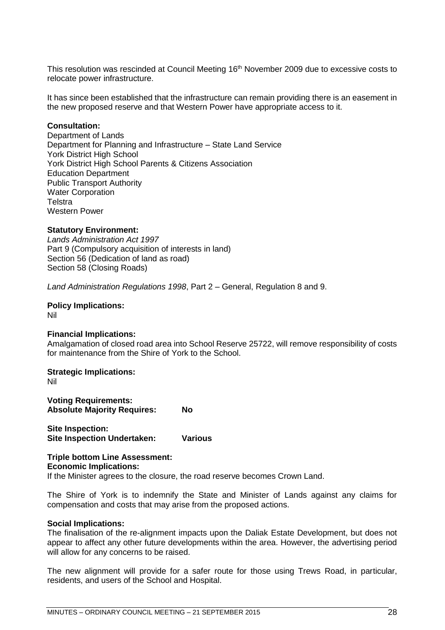This resolution was rescinded at Council Meeting 16<sup>th</sup> November 2009 due to excessive costs to relocate power infrastructure.

It has since been established that the infrastructure can remain providing there is an easement in the new proposed reserve and that Western Power have appropriate access to it.

#### **Consultation:**

Department of Lands Department for Planning and Infrastructure – State Land Service York District High School York District High School Parents & Citizens Association Education Department Public Transport Authority Water Corporation **Telstra** Western Power

#### **Statutory Environment:**

*Lands Administration Act 1997* Part 9 (Compulsory acquisition of interests in land) Section 56 (Dedication of land as road) Section 58 (Closing Roads)

*Land Administration Regulations 1998*, Part 2 – General, Regulation 8 and 9.

**Policy Implications:** Nil

#### **Financial Implications:**

Amalgamation of closed road area into School Reserve 25722, will remove responsibility of costs for maintenance from the Shire of York to the School.

#### **Strategic Implications:**

Nil

**Voting Requirements: Absolute Majority Requires: No**

**Site Inspection: Site Inspection Undertaken: Various**

**Triple bottom Line Assessment: Economic Implications:**

If the Minister agrees to the closure, the road reserve becomes Crown Land.

The Shire of York is to indemnify the State and Minister of Lands against any claims for compensation and costs that may arise from the proposed actions.

#### **Social Implications:**

The finalisation of the re-alignment impacts upon the Daliak Estate Development, but does not appear to affect any other future developments within the area. However, the advertising period will allow for any concerns to be raised.

The new alignment will provide for a safer route for those using Trews Road, in particular, residents, and users of the School and Hospital.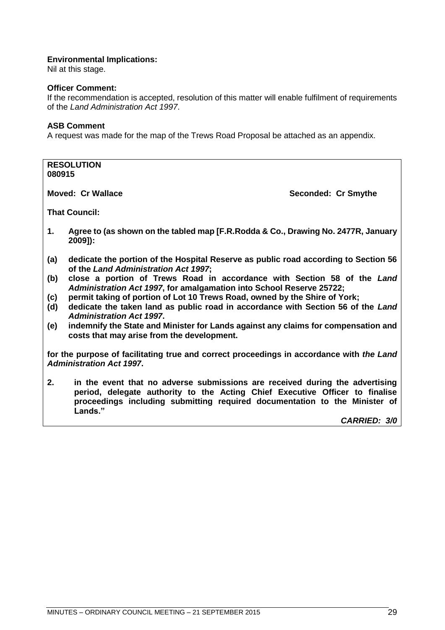#### **Environmental Implications:**

Nil at this stage.

#### **Officer Comment:**

If the recommendation is accepted, resolution of this matter will enable fulfilment of requirements of the *Land Administration Act 1997*.

#### **ASB Comment**

A request was made for the map of the Trews Road Proposal be attached as an appendix.

| <b>RESOLUTION</b><br>080915                                                                                                 |                                                                                                                                                 |   |  |
|-----------------------------------------------------------------------------------------------------------------------------|-------------------------------------------------------------------------------------------------------------------------------------------------|---|--|
| <b>Moved: Cr Wallace</b><br>Seconded: Cr Smythe                                                                             |                                                                                                                                                 |   |  |
| <b>That Council:</b>                                                                                                        |                                                                                                                                                 |   |  |
| 1.                                                                                                                          | Agree to (as shown on the tabled map [F.R.Rodda & Co., Drawing No. 2477R, January<br>$2009$ ]):                                                 |   |  |
| (a)                                                                                                                         | dedicate the portion of the Hospital Reserve as public road according to Section 56<br>of the Land Administration Act 1997;                     |   |  |
| (b)                                                                                                                         | close a portion of Trews Road in accordance with Section 58 of the Land<br>Administration Act 1997, for amalgamation into School Reserve 25722; |   |  |
| (c)                                                                                                                         | permit taking of portion of Lot 10 Trews Road, owned by the Shire of York;                                                                      |   |  |
| (d)                                                                                                                         | dedicate the taken land as public road in accordance with Section 56 of the Land<br><b>Administration Act 1997.</b>                             |   |  |
| (e)                                                                                                                         | indemnify the State and Minister for Lands against any claims for compensation and<br>costs that may arise from the development.                |   |  |
| for the purpose of facilitating true and correct proceedings in accordance with the Land<br><b>Administration Act 1997.</b> |                                                                                                                                                 |   |  |
|                                                                                                                             |                                                                                                                                                 | . |  |

**2. in the event that no adverse submissions are received during the advertising period, delegate authority to the Acting Chief Executive Officer to finalise proceedings including submitting required documentation to the Minister of Lands."**

*CARRIED: 3/0*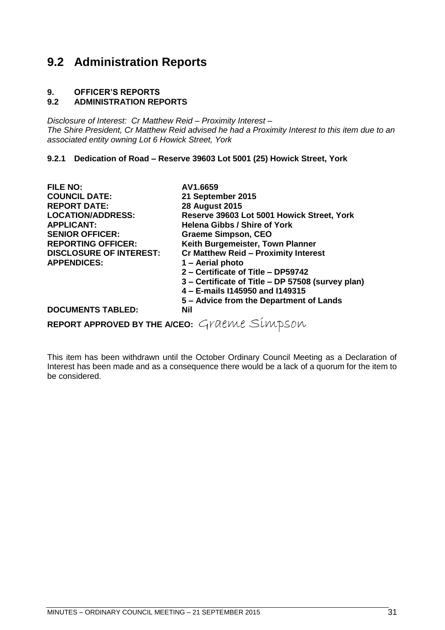# <span id="page-30-0"></span>**9.2 Administration Reports**

# **9. OFFICER'S REPORTS**

#### **9.2 ADMINISTRATION REPORTS**

*Disclosure of Interest: Cr Matthew Reid – Proximity Interest – The Shire President, Cr Matthew Reid advised he had a Proximity Interest to this item due to an associated entity owning Lot 6 Howick Street, York*

#### <span id="page-30-1"></span>**9.2.1 Dedication of Road – Reserve 39603 Lot 5001 (25) Howick Street, York**

| <b>FILE NO:</b>                              | AV1.6659                                          |
|----------------------------------------------|---------------------------------------------------|
| <b>COUNCIL DATE:</b>                         | 21 September 2015                                 |
| <b>REPORT DATE:</b>                          | <b>28 August 2015</b>                             |
| <b>LOCATION/ADDRESS:</b>                     | Reserve 39603 Lot 5001 Howick Street, York        |
| <b>APPLICANT:</b>                            | <b>Helena Gibbs / Shire of York</b>               |
| <b>SENIOR OFFICER:</b>                       | <b>Graeme Simpson, CEO</b>                        |
| <b>REPORTING OFFICER:</b>                    | Keith Burgemeister, Town Planner                  |
| <b>DISCLOSURE OF INTEREST:</b>               | <b>Cr Matthew Reid - Proximity Interest</b>       |
| <b>APPENDICES:</b>                           | 1 - Aerial photo                                  |
|                                              | 2 - Certificate of Title - DP59742                |
|                                              | 3 – Certificate of Title – DP 57508 (survey plan) |
|                                              | 4 - E-mails I145950 and I149315                   |
|                                              | 5 – Advice from the Department of Lands           |
| <b>DOCUMENTS TABLED:</b>                     | <b>Nil</b>                                        |
| REPORT APPROVED BY THE A/CEO: Graeme Simpson |                                                   |
|                                              |                                                   |

This item has been withdrawn until the October Ordinary Council Meeting as a Declaration of Interest has been made and as a consequence there would be a lack of a quorum for the item to be considered.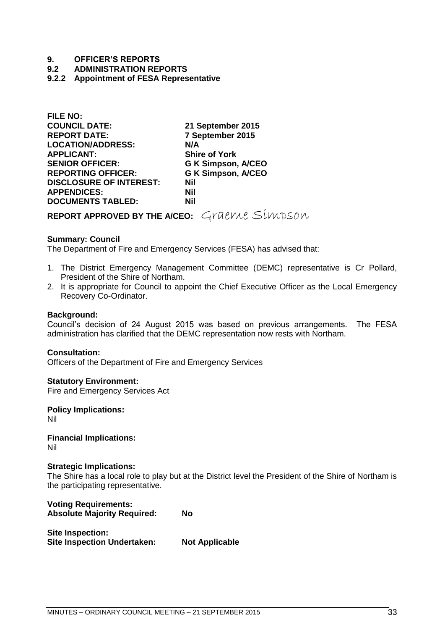#### **9. OFFICER'S REPORTS**

**9.2 ADMINISTRATION REPORTS**

#### <span id="page-32-0"></span>**9.2.2 Appointment of FESA Representative**

| FILE NU:                       |                           |
|--------------------------------|---------------------------|
| <b>COUNCIL DATE:</b>           | 21 September 2015         |
| <b>REPORT DATE:</b>            | 7 September 2015          |
| <b>LOCATION/ADDRESS:</b>       | N/A                       |
| <b>APPLICANT:</b>              | <b>Shire of York</b>      |
| <b>SENIOR OFFICER:</b>         | <b>G K Simpson, A/CEO</b> |
| <b>REPORTING OFFICER:</b>      | <b>G K Simpson, A/CEO</b> |
| <b>DISCLOSURE OF INTEREST:</b> | Nil                       |
| <b>APPENDICES:</b>             | Nil                       |
| <b>DOCUMENTS TABLED:</b>       | Nil                       |
|                                |                           |

**REPORT APPROVED BY THE A/CEO:** Graeme Simpson

#### **Summary: Council**

**FILE NO:**

The Department of Fire and Emergency Services (FESA) has advised that:

- 1. The District Emergency Management Committee (DEMC) representative is Cr Pollard, President of the Shire of Northam.
- 2. It is appropriate for Council to appoint the Chief Executive Officer as the Local Emergency Recovery Co-Ordinator.

#### **Background:**

Council's decision of 24 August 2015 was based on previous arrangements. The FESA administration has clarified that the DEMC representation now rests with Northam.

#### **Consultation:**

Officers of the Department of Fire and Emergency Services

**Statutory Environment:** Fire and Emergency Services Act

**Policy Implications:** Nil

**Financial Implications:** Nil

#### **Strategic Implications:**

The Shire has a local role to play but at the District level the President of the Shire of Northam is the participating representative.

| <b>Voting Requirements:</b>        |    |
|------------------------------------|----|
| <b>Absolute Majority Required:</b> | No |

**Site Inspection: Site Inspection Undertaken: Not Applicable**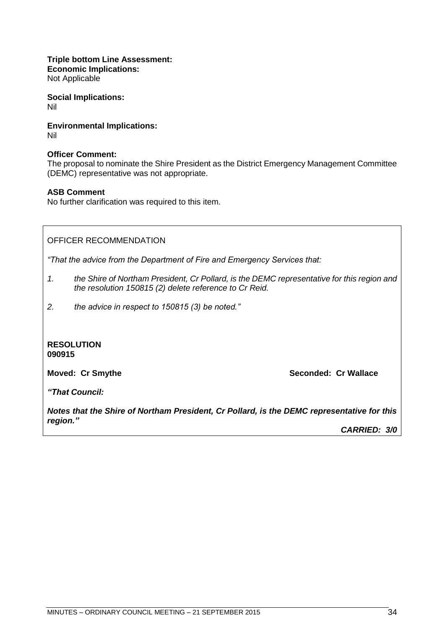**Triple bottom Line Assessment: Economic Implications:**

Not Applicable

**Social Implications:** Nil

**Environmental Implications:** Nil

#### **Officer Comment:**

The proposal to nominate the Shire President as the District Emergency Management Committee (DEMC) representative was not appropriate.

#### **ASB Comment**

No further clarification was required to this item.

OFFICER RECOMMENDATION

*"That the advice from the Department of Fire and Emergency Services that:*

- *1. the Shire of Northam President, Cr Pollard, is the DEMC representative for this region and the resolution 150815 (2) delete reference to Cr Reid.*
- *2. the advice in respect to 150815 (3) be noted."*

**RESOLUTION 090915**

**Moved: Cr Smythe Seconded: Cr Wallace**

*"That Council:*

*Notes that the Shire of Northam President, Cr Pollard, is the DEMC representative for this region."*

*CARRIED: 3/0*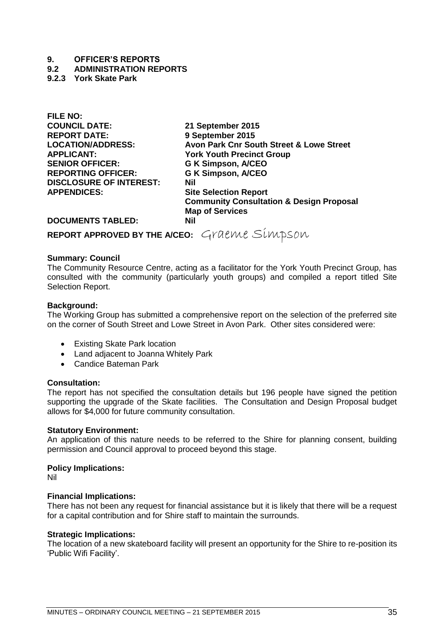#### **9. OFFICER'S REPORTS**

**9.2 ADMINISTRATION REPORTS**

<span id="page-34-0"></span>**9.2.3 York Skate Park**

**FILE NO: COUNCIL DATE: 21 September 2015 APPLICANT: York Youth Precinct Group SENIOR OFFICER: G K Simpson, A/CEO REPORTING OFFICER: G K Simpson, A/CEO DISCLOSURE OF INTEREST: Nil APPENDICES: Site Selection Report**

**REPORT DATE: 9 September 2015 LOCATION/ADDRESS: Avon Park Cnr South Street & Lowe Street Community Consultation & Design Proposal Map of Services** 

**DOCUMENTS TABLED: Nil**

**REPORT APPROVED BY THE A/CEO:** Graeme Simpson

#### **Summary: Council**

The Community Resource Centre, acting as a facilitator for the York Youth Precinct Group, has consulted with the community (particularly youth groups) and compiled a report titled Site Selection Report.

#### **Background:**

The Working Group has submitted a comprehensive report on the selection of the preferred site on the corner of South Street and Lowe Street in Avon Park. Other sites considered were:

- Existing Skate Park location
- Land adjacent to Joanna Whitely Park
- Candice Bateman Park

#### **Consultation:**

The report has not specified the consultation details but 196 people have signed the petition supporting the upgrade of the Skate facilities. The Consultation and Design Proposal budget allows for \$4,000 for future community consultation.

#### **Statutory Environment:**

An application of this nature needs to be referred to the Shire for planning consent, building permission and Council approval to proceed beyond this stage.

#### **Policy Implications:**

Nil

#### **Financial Implications:**

There has not been any request for financial assistance but it is likely that there will be a request for a capital contribution and for Shire staff to maintain the surrounds.

#### **Strategic Implications:**

The location of a new skateboard facility will present an opportunity for the Shire to re-position its 'Public Wifi Facility'.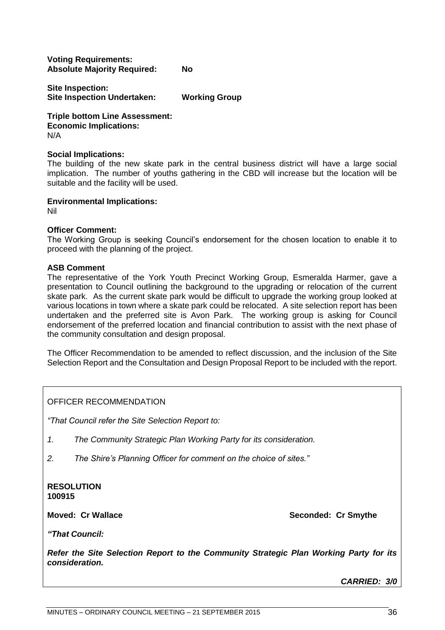**Voting Requirements: Absolute Majority Required: No**

**Site Inspection: Site Inspection Undertaken: Working Group**

**Triple bottom Line Assessment: Economic Implications:** N/A

#### **Social Implications:**

The building of the new skate park in the central business district will have a large social implication. The number of youths gathering in the CBD will increase but the location will be suitable and the facility will be used.

**Environmental Implications:**

Nil

#### **Officer Comment:**

The Working Group is seeking Council's endorsement for the chosen location to enable it to proceed with the planning of the project.

#### **ASB Comment**

The representative of the York Youth Precinct Working Group, Esmeralda Harmer, gave a presentation to Council outlining the background to the upgrading or relocation of the current skate park. As the current skate park would be difficult to upgrade the working group looked at various locations in town where a skate park could be relocated. A site selection report has been undertaken and the preferred site is Avon Park. The working group is asking for Council endorsement of the preferred location and financial contribution to assist with the next phase of the community consultation and design proposal.

The Officer Recommendation to be amended to reflect discussion, and the inclusion of the Site Selection Report and the Consultation and Design Proposal Report to be included with the report.

OFFICER RECOMMENDATION

*"That Council refer the Site Selection Report to:*

- *1. The Community Strategic Plan Working Party for its consideration.*
- *2. The Shire's Planning Officer for comment on the choice of sites."*

#### **RESOLUTION 100915**

**Moved: Cr Wallace Seconded: Cr Smythe**

*"That Council:*

*Refer the Site Selection Report to the Community Strategic Plan Working Party for its consideration.*

*CARRIED: 3/0*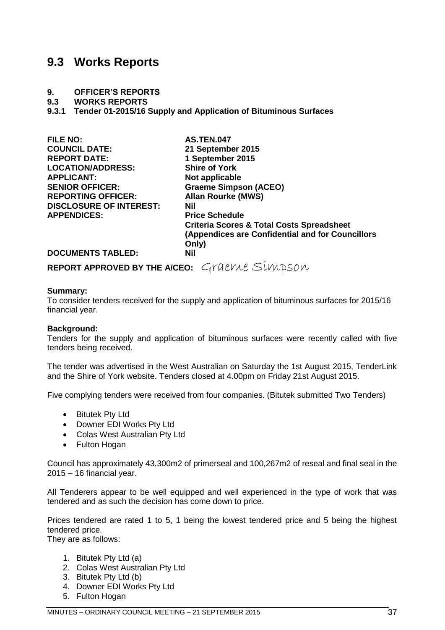## <span id="page-36-0"></span>**9.3 Works Reports**

#### **9. OFFICER'S REPORTS**

**9.3 WORKS REPORTS**

<span id="page-36-1"></span>**9.3.1 Tender 01-2015/16 Supply and Application of Bituminous Surfaces**

| <b>FILE NO:</b>                | <b>AS.TEN.047</b>                                    |
|--------------------------------|------------------------------------------------------|
| <b>COUNCIL DATE:</b>           | 21 September 2015                                    |
| <b>REPORT DATE:</b>            | 1 September 2015                                     |
| <b>LOCATION/ADDRESS:</b>       | <b>Shire of York</b>                                 |
| <b>APPLICANT:</b>              | Not applicable                                       |
| <b>SENIOR OFFICER:</b>         | <b>Graeme Simpson (ACEO)</b>                         |
| <b>REPORTING OFFICER:</b>      | <b>Allan Rourke (MWS)</b>                            |
| <b>DISCLOSURE OF INTEREST:</b> | Nil                                                  |
| <b>APPENDICES:</b>             | <b>Price Schedule</b>                                |
|                                | <b>Criteria Scores &amp; Total Costs Spreadsheet</b> |
|                                | (Appendices are Confidential and for Councillors     |
|                                | Only)                                                |
| <b>DOCUMENTS TABLED:</b>       | <b>Nil</b>                                           |

**REPORT APPROVED BY THE A/CEO:** Graeme Simpson

#### **Summary:**

To consider tenders received for the supply and application of bituminous surfaces for 2015/16 financial year.

#### **Background:**

Tenders for the supply and application of bituminous surfaces were recently called with five tenders being received.

The tender was advertised in the West Australian on Saturday the 1st August 2015, TenderLink and the Shire of York website. Tenders closed at 4.00pm on Friday 21st August 2015.

Five complying tenders were received from four companies. (Bitutek submitted Two Tenders)

- Bitutek Pty Ltd
- Downer EDI Works Pty Ltd
- Colas West Australian Pty Ltd
- Fulton Hogan

Council has approximately 43,300m2 of primerseal and 100,267m2 of reseal and final seal in the 2015 – 16 financial year.

All Tenderers appear to be well equipped and well experienced in the type of work that was tendered and as such the decision has come down to price.

Prices tendered are rated 1 to 5, 1 being the lowest tendered price and 5 being the highest tendered price.

They are as follows:

- 1. Bitutek Pty Ltd (a)
- 2. Colas West Australian Pty Ltd
- 3. Bitutek Pty Ltd (b)
- 4. Downer EDI Works Pty Ltd
- 5. Fulton Hogan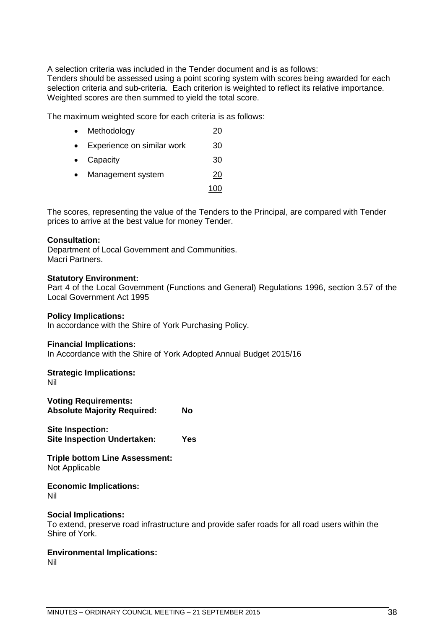A selection criteria was included in the Tender document and is as follows:

Tenders should be assessed using a point scoring system with scores being awarded for each selection criteria and sub-criteria. Each criterion is weighted to reflect its relative importance. Weighted scores are then summed to yield the total score.

The maximum weighted score for each criteria is as follows:

- Methodology 20
- Experience on similar work 30
- Capacity 30
- Management system 20 100

The scores, representing the value of the Tenders to the Principal, are compared with Tender prices to arrive at the best value for money Tender.

#### **Consultation:**

Department of Local Government and Communities. Macri Partners.

#### **Statutory Environment:**

Part 4 of the Local Government (Functions and General) Regulations 1996, section 3.57 of the Local Government Act 1995

#### **Policy Implications:**

In accordance with the Shire of York Purchasing Policy.

#### **Financial Implications:**

In Accordance with the Shire of York Adopted Annual Budget 2015/16

# **Strategic Implications:**

Nil

| <b>Voting Requirements:</b><br><b>Absolute Majority Required:</b> |  |  |
|-------------------------------------------------------------------|--|--|
| Cita Ingpasation.                                                 |  |  |

**Site Inspection: Site Inspection Undertaken: Yes**

**Triple bottom Line Assessment:** Not Applicable

**Economic Implications:** Nil

#### **Social Implications:**

To extend, preserve road infrastructure and provide safer roads for all road users within the Shire of York.

#### **Environmental Implications:**

Nil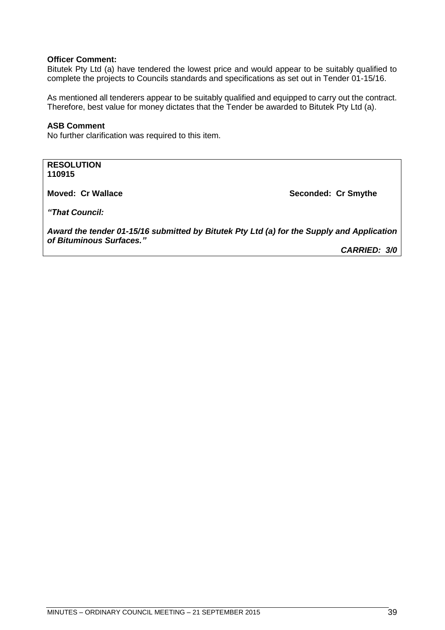#### **Officer Comment:**

Bitutek Pty Ltd (a) have tendered the lowest price and would appear to be suitably qualified to complete the projects to Councils standards and specifications as set out in Tender 01-15/16.

As mentioned all tenderers appear to be suitably qualified and equipped to carry out the contract. Therefore, best value for money dictates that the Tender be awarded to Bitutek Pty Ltd (a).

#### **ASB Comment**

No further clarification was required to this item.

**RESOLUTION 110915**

**Moved: Cr Wallace Seconded: Cr Smythe**

*"That Council:*

*Award the tender 01-15/16 submitted by Bitutek Pty Ltd (a) for the Supply and Application of Bituminous Surfaces."*

*CARRIED: 3/0*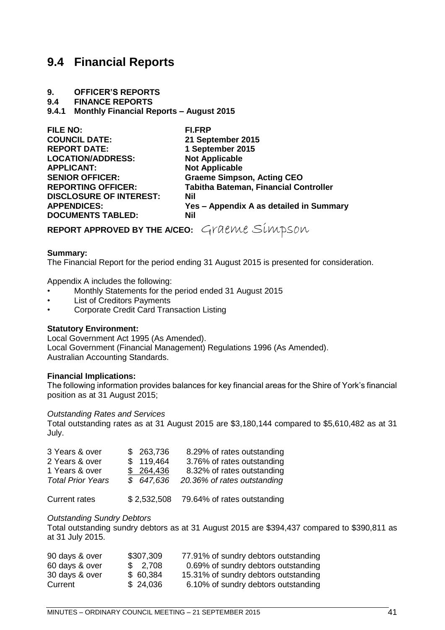# <span id="page-40-0"></span>**9.4 Financial Reports**

#### **9. OFFICER'S REPORTS**

**9.4 FINANCE REPORTS**

#### <span id="page-40-1"></span>**9.4.1 Monthly Financial Reports – August 2015**

| <b>FI.FRP</b>                                |
|----------------------------------------------|
| 21 September 2015                            |
| 1 September 2015                             |
| <b>Not Applicable</b>                        |
| <b>Not Applicable</b>                        |
| <b>Graeme Simpson, Acting CEO</b>            |
| <b>Tabitha Bateman, Financial Controller</b> |
| Nil                                          |
| Yes - Appendix A as detailed in Summary      |
| Nil                                          |
|                                              |

**REPORT APPROVED BY THE A/CEO:** Graeme Simpson

#### **Summary:**

The Financial Report for the period ending 31 August 2015 is presented for consideration.

Appendix A includes the following:

- Monthly Statements for the period ended 31 August 2015
- **List of Creditors Payments**
- Corporate Credit Card Transaction Listing

#### **Statutory Environment:**

Local Government Act 1995 (As Amended). Local Government (Financial Management) Regulations 1996 (As Amended). Australian Accounting Standards.

#### **Financial Implications:**

The following information provides balances for key financial areas for the Shire of York's financial position as at 31 August 2015;

#### *Outstanding Rates and Services*

Total outstanding rates as at 31 August 2015 are \$3,180,144 compared to \$5,610,482 as at 31 July.

| 3 Years & over           | \$263,736 | 8.29% of rates outstanding  |
|--------------------------|-----------|-----------------------------|
| 2 Years & over           | \$119,464 | 3.76% of rates outstanding  |
| 1 Years & over           | \$264,436 | 8.32% of rates outstanding  |
| <b>Total Prior Years</b> | \$647,636 | 20.36% of rates outstanding |

Current rates \$ 2,532,508 79.64% of rates outstanding

#### *Outstanding Sundry Debtors*

Total outstanding sundry debtors as at 31 August 2015 are \$394,437 compared to \$390,811 as at 31 July 2015.

| 90 days & over | \$307,309 | 77.91% of sundry debtors outstanding |
|----------------|-----------|--------------------------------------|
| 60 days & over | \$2,708   | 0.69% of sundry debtors outstanding  |
| 30 days & over | \$60,384  | 15.31% of sundry debtors outstanding |
| Current        | \$24,036  | 6.10% of sundry debtors outstanding  |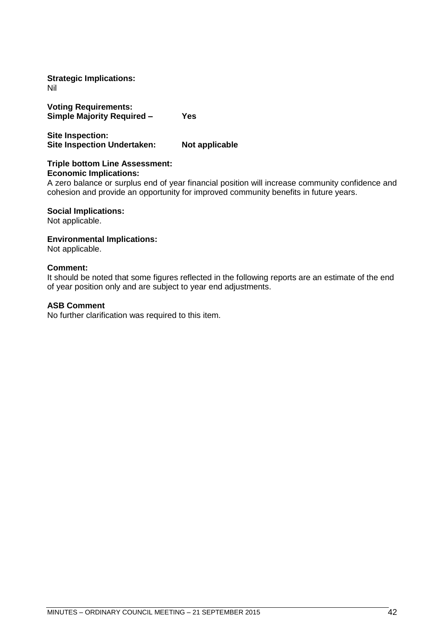**Strategic Implications:** Nil

**Voting Requirements: Simple Majority Required – Yes** 

**Site Inspection: Site Inspection Undertaken: Not applicable**

#### **Triple bottom Line Assessment: Economic Implications:**

A zero balance or surplus end of year financial position will increase community confidence and cohesion and provide an opportunity for improved community benefits in future years.

#### **Social Implications:**

Not applicable.

#### **Environmental Implications:**

Not applicable.

#### **Comment:**

It should be noted that some figures reflected in the following reports are an estimate of the end of year position only and are subject to year end adjustments.

#### **ASB Comment**

No further clarification was required to this item.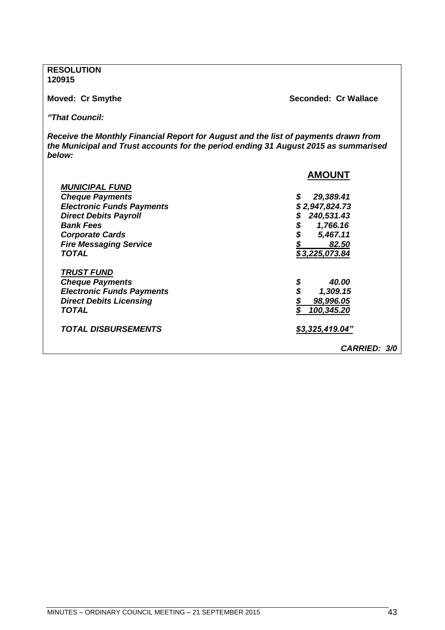**RESOLUTION 120915**

**Moved: Cr Smythe Seconded: Cr Wallace**

*"That Council:*

*Receive the Monthly Financial Report for August and the list of payments drawn from the Municipal and Trust accounts for the period ending 31 August 2015 as summarised below:*

|                                   | <b>AMOUNT</b>       |
|-----------------------------------|---------------------|
| <b>MUNICIPAL FUND</b>             |                     |
| <b>Cheque Payments</b>            | \$<br>29,389.41     |
| <b>Electronic Funds Payments</b>  | \$2,947,824.73      |
| <b>Direct Debits Payroll</b>      | 240,531.43          |
| <b>Bank Fees</b>                  | \$<br>1,766.16      |
| <b>Corporate Cards</b>            | 5,467.11            |
| <b>Fire Messaging Service</b>     | 82.50               |
| <b>TOTAL</b>                      | \$3,225,073.84      |
| <b>TRUST FUND</b>                 |                     |
| <b>Cheque Payments</b>            | \$<br>40.00         |
| <b>Electronic Funds Payments</b>  | 1,309.15            |
| <b>Direct Debits Licensing</b>    | 98,996.05           |
| TOTAL                             | 100,345.20          |
| <i><b>TOTAL DISBURSEMENTS</b></i> | \$3,325,419.04"     |
|                                   | <b>CARRIED: 3/0</b> |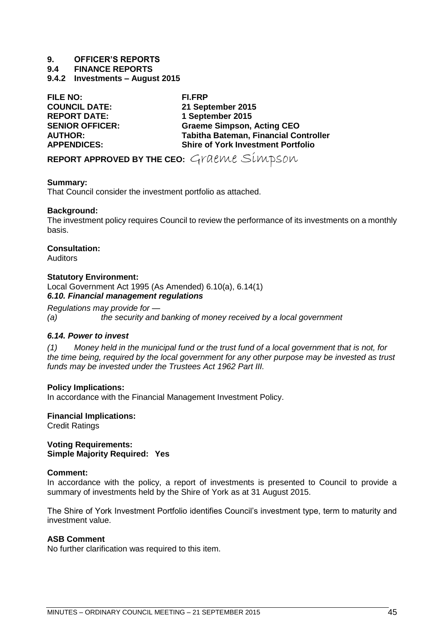#### **9. OFFICER'S REPORTS**

**9.4 FINANCE REPORTS**

<span id="page-44-0"></span>**9.4.2 Investments – August 2015**

**FILE NO: FI.FRP COUNCIL DATE: 21 September 2015 REPORT DATE: 1 September 2015 SENIOR OFFICER: Graeme Simpson, Acting CEO AUTHOR: Tabitha Bateman, Financial Controller Shire of York Investment Portfolio** 

**REPORT APPROVED BY THE CEO:** Graeme Simpson

#### **Summary:**

That Council consider the investment portfolio as attached.

#### **Background:**

The investment policy requires Council to review the performance of its investments on a monthly basis.

#### **Consultation:**

Auditors

#### **Statutory Environment:**

Local Government Act 1995 (As Amended) 6.10(a), 6.14(1) *6.10. Financial management regulations*

*Regulations may provide for —*

*(a) the security and banking of money received by a local government*

#### *6.14. Power to invest*

*(1) Money held in the municipal fund or the trust fund of a local government that is not, for the time being, required by the local government for any other purpose may be invested as trust funds may be invested under the Trustees Act 1962 Part III.*

#### **Policy Implications:**

In accordance with the Financial Management Investment Policy.

**Financial Implications:**

Credit Ratings

**Voting Requirements: Simple Majority Required: Yes**

#### **Comment:**

In accordance with the policy, a report of investments is presented to Council to provide a summary of investments held by the Shire of York as at 31 August 2015.

The Shire of York Investment Portfolio identifies Council's investment type, term to maturity and investment value.

#### **ASB Comment**

No further clarification was required to this item.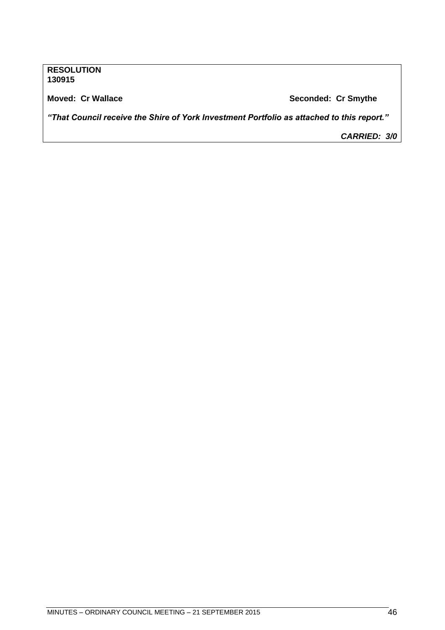#### **RESOLUTION 130915**

**Moved: Cr Wallace Seconded: Cr Smythe**

*"That Council receive the Shire of York Investment Portfolio as attached to this report."*

*CARRIED: 3/0*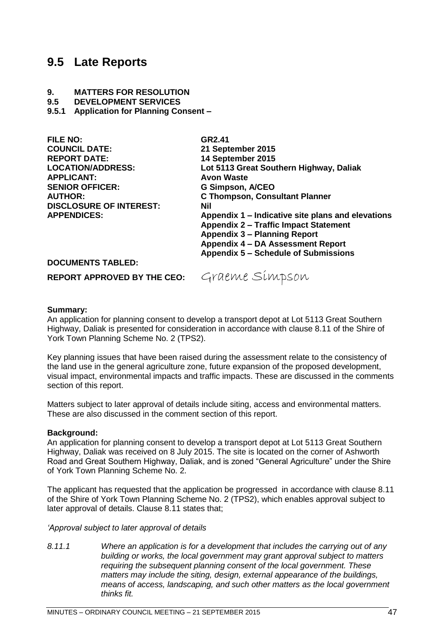### <span id="page-46-0"></span>**9.5 Late Reports**

#### **9. MATTERS FOR RESOLUTION**

**9.5 DEVELOPMENT SERVICES**

<span id="page-46-1"></span>**9.5.1 Application for Planning Consent –**

| FILE NO:                       | GR <sub>2.41</sub>                                |
|--------------------------------|---------------------------------------------------|
| <b>COUNCIL DATE:</b>           | 21 September 2015                                 |
| <b>REPORT DATE:</b>            | 14 September 2015                                 |
| <b>LOCATION/ADDRESS:</b>       | Lot 5113 Great Southern Highway, Daliak           |
| <b>APPLICANT:</b>              | <b>Avon Waste</b>                                 |
| <b>SENIOR OFFICER:</b>         | <b>G Simpson, A/CEO</b>                           |
| <b>AUTHOR:</b>                 | <b>C Thompson, Consultant Planner</b>             |
| <b>DISCLOSURE OF INTEREST:</b> | Nil                                               |
| <b>APPENDICES:</b>             | Appendix 1 - Indicative site plans and elevations |
|                                | <b>Appendix 2 - Traffic Impact Statement</b>      |
|                                | <b>Appendix 3 - Planning Report</b>               |
|                                | <b>Appendix 4 - DA Assessment Report</b>          |
|                                | <b>Appendix 5 – Schedule of Submissions</b>       |
| <b>DOCUMENTS TABLED:</b>       |                                                   |

REPORT APPROVED BY THE CEO: Graeme Simpson

#### **Summary:**

An application for planning consent to develop a transport depot at Lot 5113 Great Southern Highway, Daliak is presented for consideration in accordance with clause 8.11 of the Shire of York Town Planning Scheme No. 2 (TPS2).

Key planning issues that have been raised during the assessment relate to the consistency of the land use in the general agriculture zone, future expansion of the proposed development, visual impact, environmental impacts and traffic impacts. These are discussed in the comments section of this report.

Matters subject to later approval of details include siting, access and environmental matters. These are also discussed in the comment section of this report.

#### **Background:**

An application for planning consent to develop a transport depot at Lot 5113 Great Southern Highway, Daliak was received on 8 July 2015. The site is located on the corner of Ashworth Road and Great Southern Highway, Daliak, and is zoned "General Agriculture" under the Shire of York Town Planning Scheme No. 2.

The applicant has requested that the application be progressed in accordance with clause 8.11 of the Shire of York Town Planning Scheme No. 2 (TPS2), which enables approval subject to later approval of details. Clause 8.11 states that;

#### *'Approval subject to later approval of details*

*8.11.1 Where an application is for a development that includes the carrying out of any building or works, the local government may grant approval subject to matters requiring the subsequent planning consent of the local government. These matters may include the siting, design, external appearance of the buildings, means of access, landscaping, and such other matters as the local government thinks fit.*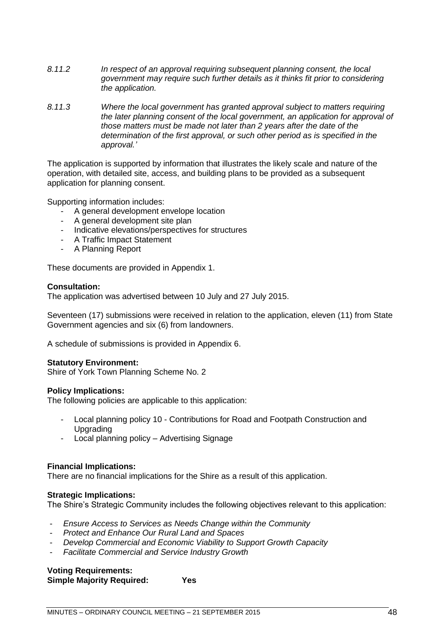- *8.11.2 In respect of an approval requiring subsequent planning consent, the local government may require such further details as it thinks fit prior to considering the application.*
- *8.11.3 Where the local government has granted approval subject to matters requiring the later planning consent of the local government, an application for approval of those matters must be made not later than 2 years after the date of the determination of the first approval, or such other period as is specified in the approval.'*

The application is supported by information that illustrates the likely scale and nature of the operation, with detailed site, access, and building plans to be provided as a subsequent application for planning consent.

Supporting information includes:

- A general development envelope location
- A general development site plan
- Indicative elevations/perspectives for structures
- A Traffic Impact Statement
- A Planning Report

These documents are provided in Appendix 1.

#### **Consultation:**

The application was advertised between 10 July and 27 July 2015.

Seventeen (17) submissions were received in relation to the application, eleven (11) from State Government agencies and six (6) from landowners.

A schedule of submissions is provided in Appendix 6.

#### **Statutory Environment:**

Shire of York Town Planning Scheme No. 2

#### **Policy Implications:**

The following policies are applicable to this application:

- Local planning policy 10 Contributions for Road and Footpath Construction and Upgrading
- Local planning policy Advertising Signage

#### **Financial Implications:**

There are no financial implications for the Shire as a result of this application.

#### **Strategic Implications:**

The Shire's Strategic Community includes the following objectives relevant to this application:

- *Ensure Access to Services as Needs Change within the Community*
- *Protect and Enhance Our Rural Land and Spaces*
- *Develop Commercial and Economic Viability to Support Growth Capacity*
- *Facilitate Commercial and Service Industry Growth*

#### **Voting Requirements: Simple Majority Required: Yes**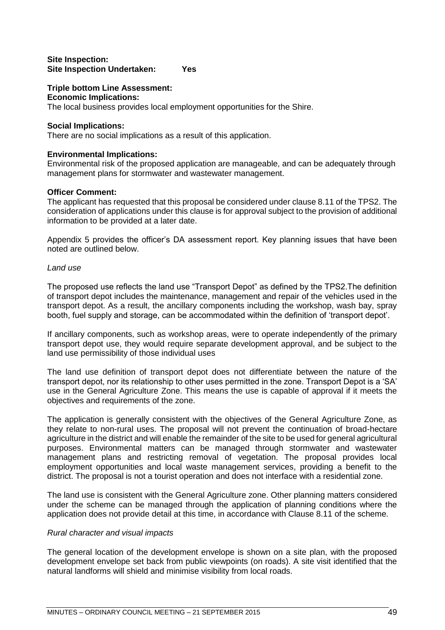#### **Site Inspection: Site Inspection Undertaken: Yes**

#### **Triple bottom Line Assessment:**

#### **Economic Implications:**

The local business provides local employment opportunities for the Shire.

#### **Social Implications:**

There are no social implications as a result of this application.

#### **Environmental Implications:**

Environmental risk of the proposed application are manageable, and can be adequately through management plans for stormwater and wastewater management.

#### **Officer Comment:**

The applicant has requested that this proposal be considered under clause 8.11 of the TPS2. The consideration of applications under this clause is for approval subject to the provision of additional information to be provided at a later date.

Appendix 5 provides the officer's DA assessment report. Key planning issues that have been noted are outlined below.

#### *Land use*

The proposed use reflects the land use "Transport Depot" as defined by the TPS2.The definition of transport depot includes the maintenance, management and repair of the vehicles used in the transport depot. As a result, the ancillary components including the workshop, wash bay, spray booth, fuel supply and storage, can be accommodated within the definition of 'transport depot'.

If ancillary components, such as workshop areas, were to operate independently of the primary transport depot use, they would require separate development approval, and be subject to the land use permissibility of those individual uses

The land use definition of transport depot does not differentiate between the nature of the transport depot, nor its relationship to other uses permitted in the zone. Transport Depot is a 'SA' use in the General Agriculture Zone. This means the use is capable of approval if it meets the objectives and requirements of the zone.

The application is generally consistent with the objectives of the General Agriculture Zone, as they relate to non-rural uses. The proposal will not prevent the continuation of broad-hectare agriculture in the district and will enable the remainder of the site to be used for general agricultural purposes. Environmental matters can be managed through stormwater and wastewater management plans and restricting removal of vegetation. The proposal provides local employment opportunities and local waste management services, providing a benefit to the district. The proposal is not a tourist operation and does not interface with a residential zone.

The land use is consistent with the General Agriculture zone. Other planning matters considered under the scheme can be managed through the application of planning conditions where the application does not provide detail at this time, in accordance with Clause 8.11 of the scheme.

#### *Rural character and visual impacts*

The general location of the development envelope is shown on a site plan, with the proposed development envelope set back from public viewpoints (on roads). A site visit identified that the natural landforms will shield and minimise visibility from local roads.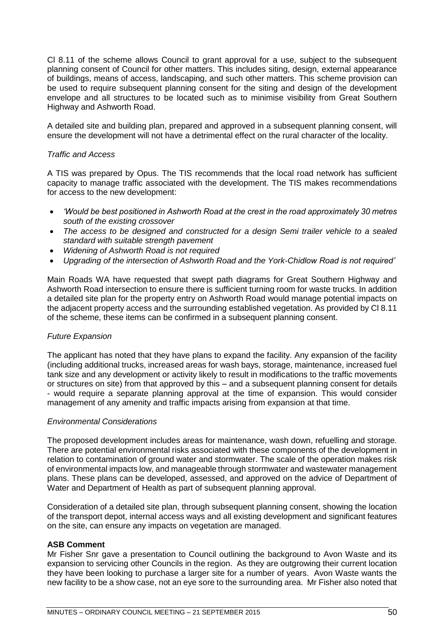Cl 8.11 of the scheme allows Council to grant approval for a use, subject to the subsequent planning consent of Council for other matters. This includes siting, design, external appearance of buildings, means of access, landscaping, and such other matters. This scheme provision can be used to require subsequent planning consent for the siting and design of the development envelope and all structures to be located such as to minimise visibility from Great Southern Highway and Ashworth Road.

A detailed site and building plan, prepared and approved in a subsequent planning consent, will ensure the development will not have a detrimental effect on the rural character of the locality.

#### *Traffic and Access*

A TIS was prepared by Opus. The TIS recommends that the local road network has sufficient capacity to manage traffic associated with the development. The TIS makes recommendations for access to the new development:

- *'Would be best positioned in Ashworth Road at the crest in the road approximately 30 metres south of the existing crossover*
- *The access to be designed and constructed for a design Semi trailer vehicle to a sealed standard with suitable strength pavement*
- *Widening of Ashworth Road is not required*
- *Upgrading of the intersection of Ashworth Road and the York-Chidlow Road is not required'*

Main Roads WA have requested that swept path diagrams for Great Southern Highway and Ashworth Road intersection to ensure there is sufficient turning room for waste trucks. In addition a detailed site plan for the property entry on Ashworth Road would manage potential impacts on the adjacent property access and the surrounding established vegetation. As provided by Cl 8.11 of the scheme, these items can be confirmed in a subsequent planning consent.

#### *Future Expansion*

The applicant has noted that they have plans to expand the facility. Any expansion of the facility (including additional trucks, increased areas for wash bays, storage, maintenance, increased fuel tank size and any development or activity likely to result in modifications to the traffic movements or structures on site) from that approved by this – and a subsequent planning consent for details - would require a separate planning approval at the time of expansion. This would consider management of any amenity and traffic impacts arising from expansion at that time.

#### *Environmental Considerations*

The proposed development includes areas for maintenance, wash down, refuelling and storage. There are potential environmental risks associated with these components of the development in relation to contamination of ground water and stormwater. The scale of the operation makes risk of environmental impacts low, and manageable through stormwater and wastewater management plans. These plans can be developed, assessed, and approved on the advice of Department of Water and Department of Health as part of subsequent planning approval.

Consideration of a detailed site plan, through subsequent planning consent, showing the location of the transport depot, internal access ways and all existing development and significant features on the site, can ensure any impacts on vegetation are managed.

#### **ASB Comment**

Mr Fisher Snr gave a presentation to Council outlining the background to Avon Waste and its expansion to servicing other Councils in the region. As they are outgrowing their current location they have been looking to purchase a larger site for a number of years. Avon Waste wants the new facility to be a show case, not an eye sore to the surrounding area. Mr Fisher also noted that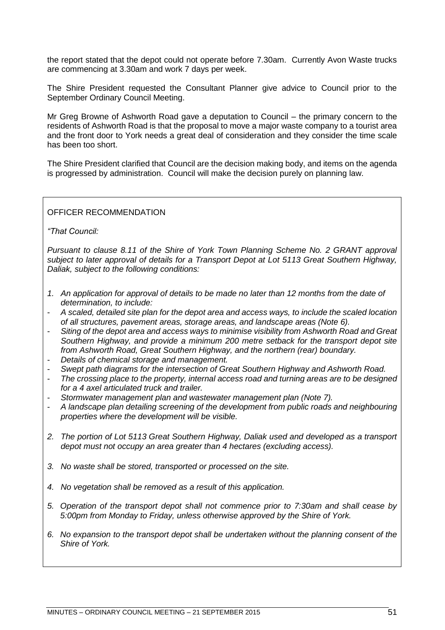the report stated that the depot could not operate before 7.30am. Currently Avon Waste trucks are commencing at 3.30am and work 7 days per week.

The Shire President requested the Consultant Planner give advice to Council prior to the September Ordinary Council Meeting.

Mr Greg Browne of Ashworth Road gave a deputation to Council – the primary concern to the residents of Ashworth Road is that the proposal to move a major waste company to a tourist area and the front door to York needs a great deal of consideration and they consider the time scale has been too short.

The Shire President clarified that Council are the decision making body, and items on the agenda is progressed by administration. Council will make the decision purely on planning law.

#### OFFICER RECOMMENDATION

*"That Council:*

*Pursuant to clause 8.11 of the Shire of York Town Planning Scheme No. 2 GRANT approval subject to later approval of details for a Transport Depot at Lot 5113 Great Southern Highway, Daliak, subject to the following conditions:*

- *1. An application for approval of details to be made no later than 12 months from the date of determination, to include:*
- *A scaled, detailed site plan for the depot area and access ways, to include the scaled location of all structures, pavement areas, storage areas, and landscape areas (Note 6).*
- *Siting of the depot area and access ways to minimise visibility from Ashworth Road and Great Southern Highway, and provide a minimum 200 metre setback for the transport depot site from Ashworth Road, Great Southern Highway, and the northern (rear) boundary.*
- *Details of chemical storage and management.*
- *Swept path diagrams for the intersection of Great Southern Highway and Ashworth Road.*
- *The crossing place to the property, internal access road and turning areas are to be designed for a 4 axel articulated truck and trailer.*
- *Stormwater management plan and wastewater management plan (Note 7).*
- *A landscape plan detailing screening of the development from public roads and neighbouring properties where the development will be visible.*
- *2. The portion of Lot 5113 Great Southern Highway, Daliak used and developed as a transport depot must not occupy an area greater than 4 hectares (excluding access).*
- *3. No waste shall be stored, transported or processed on the site.*
- *4. No vegetation shall be removed as a result of this application.*
- *5. Operation of the transport depot shall not commence prior to 7:30am and shall cease by 5:00pm from Monday to Friday, unless otherwise approved by the Shire of York.*
- *6. No expansion to the transport depot shall be undertaken without the planning consent of the Shire of York.*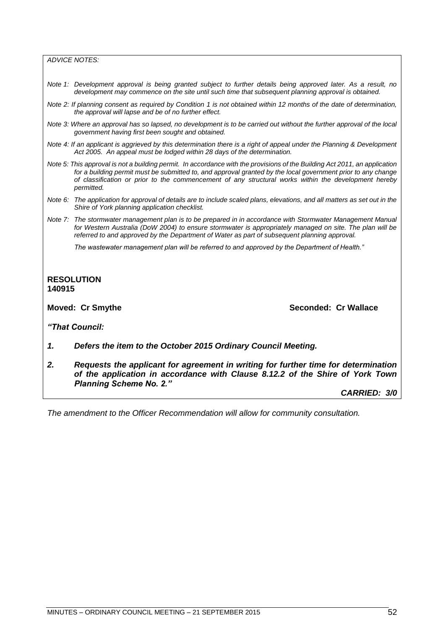*ADVICE NOTES:*

- *Note 1: Development approval is being granted subject to further details being approved later. As a result, no development may commence on the site until such time that subsequent planning approval is obtained.*
- *Note 2: If planning consent as required by Condition 1 is not obtained within 12 months of the date of determination, the approval will lapse and be of no further effect.*
- *Note 3: Where an approval has so lapsed, no development is to be carried out without the further approval of the local government having first been sought and obtained.*
- *Note 4: If an applicant is aggrieved by this determination there is a right of appeal under the Planning & Development Act 2005. An appeal must be lodged within 28 days of the determination.*
- *Note 5: This approval is not a building permit. In accordance with the provisions of the Building Act 2011, an application for a building permit must be submitted to, and approval granted by the local government prior to any change of classification or prior to the commencement of any structural works within the development hereby permitted.*
- *Note 6: The application for approval of details are to include scaled plans, elevations, and all matters as set out in the Shire of York planning application checklist.*
- *Note 7: The stormwater management plan is to be prepared in in accordance with Stormwater Management Manual for Western Australia (DoW 2004) to ensure stormwater is appropriately managed on site. The plan will be referred to and approved by the Department of Water as part of subsequent planning approval.*

*The wastewater management plan will be referred to and approved by the Department of Health."*

#### **RESOLUTION 140915**

**Moved: Cr Smythe Seconded: Cr Wallace**

*"That Council:*

- *1. Defers the item to the October 2015 Ordinary Council Meeting.*
- *2. Requests the applicant for agreement in writing for further time for determination of the application in accordance with Clause 8.12.2 of the Shire of York Town Planning Scheme No. 2."*

*CARRIED: 3/0*

*The amendment to the Officer Recommendation will allow for community consultation.*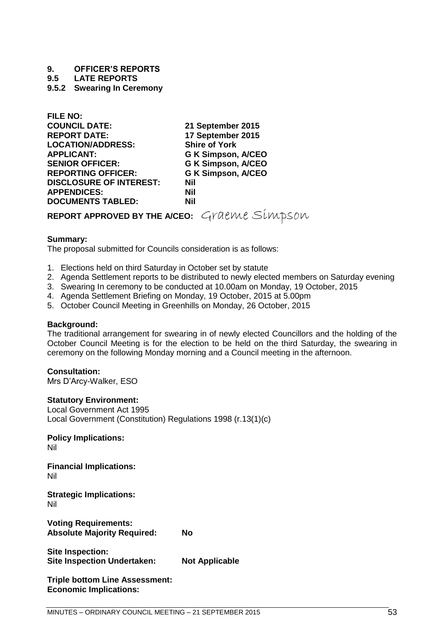# **9. OFFICER'S REPORTS**

**9.5 LATE REPORTS**

#### <span id="page-52-0"></span>**9.5.2 Swearing In Ceremony**

| 21 September 2015                            |
|----------------------------------------------|
| 17 September 2015                            |
| <b>Shire of York</b>                         |
| <b>G K Simpson, A/CEO</b>                    |
| <b>G K Simpson, A/CEO</b>                    |
| <b>G K Simpson, A/CEO</b>                    |
| <b>Nil</b>                                   |
| <b>Nil</b>                                   |
| <b>Nil</b>                                   |
| REPORT APPROVED BY THE A/CEO: Graeme Simpson |
|                                              |

#### **Summary:**

**FILE NO:**

The proposal submitted for Councils consideration is as follows:

- 1. Elections held on third Saturday in October set by statute
- 2. Agenda Settlement reports to be distributed to newly elected members on Saturday evening
- 3. Swearing In ceremony to be conducted at 10.00am on Monday, 19 October, 2015
- 4. Agenda Settlement Briefing on Monday, 19 October, 2015 at 5.00pm
- 5. October Council Meeting in Greenhills on Monday, 26 October, 2015

#### **Background:**

The traditional arrangement for swearing in of newly elected Councillors and the holding of the October Council Meeting is for the election to be held on the third Saturday, the swearing in ceremony on the following Monday morning and a Council meeting in the afternoon.

#### **Consultation:**

Mrs D'Arcy-Walker, ESO

#### **Statutory Environment:**

Local Government Act 1995 Local Government (Constitution) Regulations 1998 (r.13(1)(c)

**Policy Implications:** Nil

**Financial Implications:** Nil

**Strategic Implications:** Nil

**Voting Requirements: Absolute Majority Required: No**

**Site Inspection: Site Inspection Undertaken: Not Applicable**

**Triple bottom Line Assessment: Economic Implications:**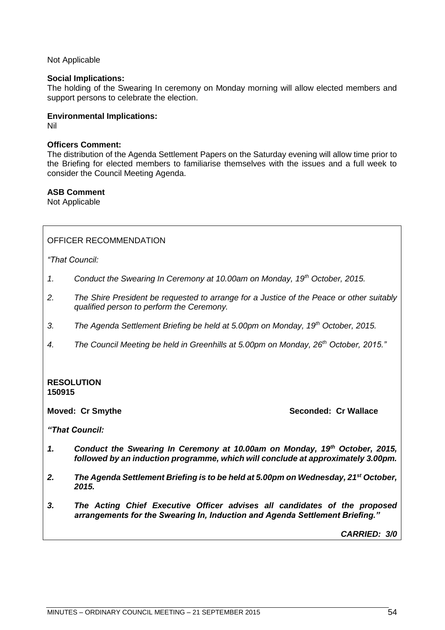Not Applicable

#### **Social Implications:**

The holding of the Swearing In ceremony on Monday morning will allow elected members and support persons to celebrate the election.

#### **Environmental Implications:**

Nil

#### **Officers Comment:**

The distribution of the Agenda Settlement Papers on the Saturday evening will allow time prior to the Briefing for elected members to familiarise themselves with the issues and a full week to consider the Council Meeting Agenda.

#### **ASB Comment**

Not Applicable

#### OFFICER RECOMMENDATION

*"That Council:*

- *1. Conduct the Swearing In Ceremony at 10.00am on Monday, 19th October, 2015.*
- *2. The Shire President be requested to arrange for a Justice of the Peace or other suitably qualified person to perform the Ceremony.*
- *3. The Agenda Settlement Briefing be held at 5.00pm on Monday, 19th October, 2015.*
- *4. The Council Meeting be held in Greenhills at 5.00pm on Monday, 26th October, 2015."*

#### **RESOLUTION 150915**

**Moved: Cr Smythe Seconded: Cr Wallace**

*"That Council:*

- *1. Conduct the Swearing In Ceremony at 10.00am on Monday, 19th October, 2015, followed by an induction programme, which will conclude at approximately 3.00pm.*
- *2. The Agenda Settlement Briefing is to be held at 5.00pm on Wednesday, 21st October, 2015.*
- *3. The Acting Chief Executive Officer advises all candidates of the proposed arrangements for the Swearing In, Induction and Agenda Settlement Briefing."*

*CARRIED: 3/0*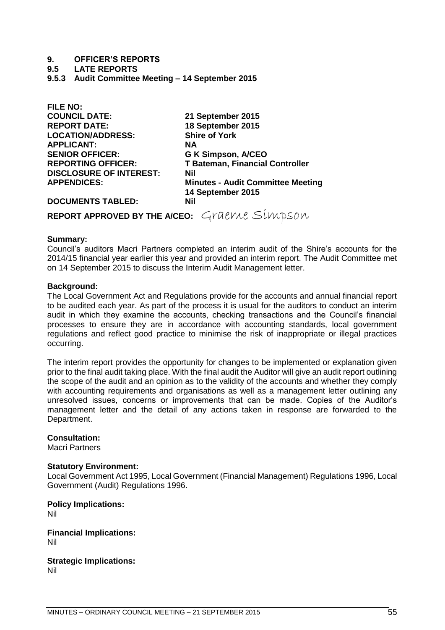#### **9. OFFICER'S REPORTS**

#### **9.5 LATE REPORTS**

<span id="page-54-0"></span>**9.5.3 Audit Committee Meeting – 14 September 2015**

| FILE NU.                                     |                                          |
|----------------------------------------------|------------------------------------------|
| <b>COUNCIL DATE:</b>                         | 21 September 2015                        |
| <b>REPORT DATE:</b>                          | 18 September 2015                        |
| <b>LOCATION/ADDRESS:</b>                     | <b>Shire of York</b>                     |
| <b>APPLICANT:</b>                            | <b>NA</b>                                |
| <b>SENIOR OFFICER:</b>                       | <b>G K Simpson, A/CEO</b>                |
| <b>REPORTING OFFICER:</b>                    | <b>T Bateman, Financial Controller</b>   |
| <b>DISCLOSURE OF INTEREST:</b>               | Nil                                      |
| <b>APPENDICES:</b>                           | <b>Minutes - Audit Committee Meeting</b> |
|                                              | 14 September 2015                        |
| <b>DOCUMENTS TABLED:</b>                     | Nil                                      |
| REPORT APPROVED BY THE A/CEO: Graeme Simpson |                                          |

#### **Summary:**

**FILE NO:**

Council's auditors Macri Partners completed an interim audit of the Shire's accounts for the 2014/15 financial year earlier this year and provided an interim report. The Audit Committee met on 14 September 2015 to discuss the Interim Audit Management letter.

#### **Background:**

The Local Government Act and Regulations provide for the accounts and annual financial report to be audited each year. As part of the process it is usual for the auditors to conduct an interim audit in which they examine the accounts, checking transactions and the Council's financial processes to ensure they are in accordance with accounting standards, local government regulations and reflect good practice to minimise the risk of inappropriate or illegal practices occurring.

The interim report provides the opportunity for changes to be implemented or explanation given prior to the final audit taking place. With the final audit the Auditor will give an audit report outlining the scope of the audit and an opinion as to the validity of the accounts and whether they comply with accounting requirements and organisations as well as a management letter outlining any unresolved issues, concerns or improvements that can be made. Copies of the Auditor's management letter and the detail of any actions taken in response are forwarded to the Department.

#### **Consultation:**

Macri Partners

#### **Statutory Environment:**

Local Government Act 1995, Local Government (Financial Management) Regulations 1996, Local Government (Audit) Regulations 1996.

**Policy Implications:** Nil

**Financial Implications:** Nil

**Strategic Implications:** Nil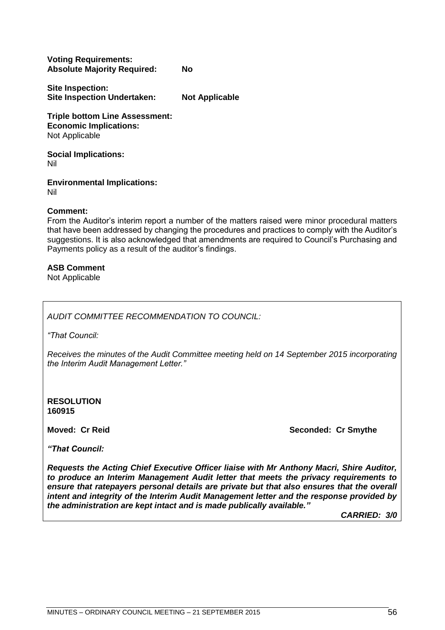| <b>Voting Requirements:</b>        |    |
|------------------------------------|----|
| <b>Absolute Majority Required:</b> | No |

**Site Inspection: Site Inspection Undertaken: Not Applicable**

**Triple bottom Line Assessment: Economic Implications:** Not Applicable

**Social Implications:** Nil

**Environmental Implications:** Nil

#### **Comment:**

From the Auditor's interim report a number of the matters raised were minor procedural matters that have been addressed by changing the procedures and practices to comply with the Auditor's suggestions. It is also acknowledged that amendments are required to Council's Purchasing and Payments policy as a result of the auditor's findings.

#### **ASB Comment**

Not Applicable

*AUDIT COMMITTEE RECOMMENDATION TO COUNCIL:*

*"That Council:*

*Receives the minutes of the Audit Committee meeting held on 14 September 2015 incorporating the Interim Audit Management Letter."*

**RESOLUTION 160915**

**Moved: Cr Reid Seconded: Cr Smythe** 

*"That Council:*

*Requests the Acting Chief Executive Officer liaise with Mr Anthony Macri, Shire Auditor, to produce an Interim Management Audit letter that meets the privacy requirements to ensure that ratepayers personal details are private but that also ensures that the overall intent and integrity of the Interim Audit Management letter and the response provided by the administration are kept intact and is made publically available."*

*CARRIED: 3/0*